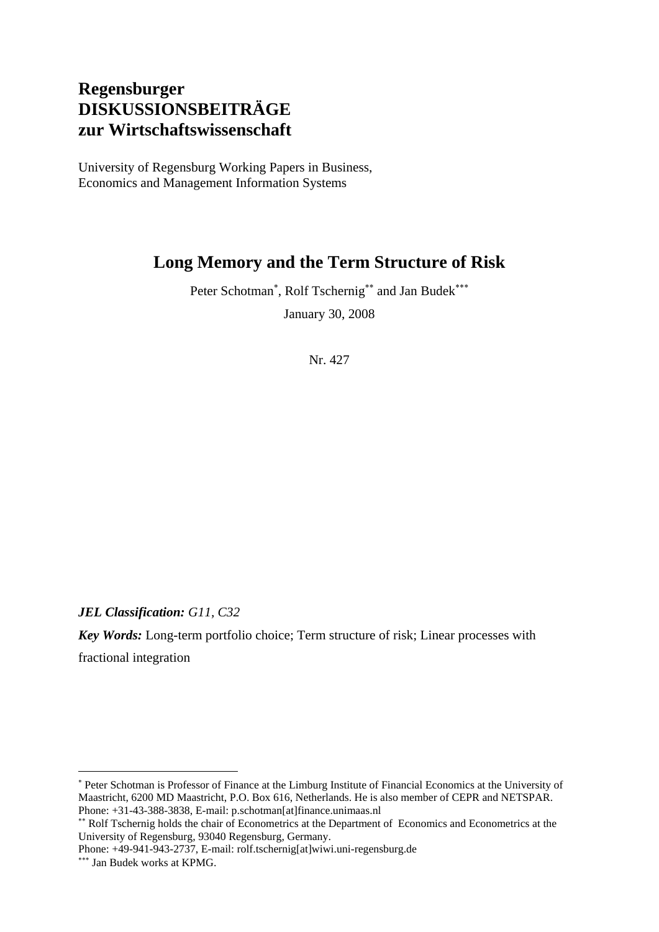# **Regensburger DISKUSSIONSBEITRÄGE zur Wirtschaftswissenschaft**

University of Regensburg Working Papers in Business, Economics and Management Information Systems

# **Long Memory and the Term Structure of Risk**

Peter Schotman<sup>\*</sup>, Rolf Tschernig<sup>\*\*</sup> and Jan Budek<sup>\*\*\*</sup>

January 30, 2008

Nr. 427

*JEL Classification: G11, C32* 

*Key Words:* Long-term portfolio choice; Term structure of risk; Linear processes with fractional integration

Phone: +49-941-943-2737, E-mail: rolf.tschernig[at]wiwi.uni-regensburg.de

1

<sup>∗</sup> Peter Schotman is Professor of Finance at the Limburg Institute of Financial Economics at the University of Maastricht, 6200 MD Maastricht, P.O. Box 616, Netherlands. He is also member of CEPR and NETSPAR. Phone: +31-43-388-3838, E-mail: p.schotman[at]finance.unimaas.nl

<sup>∗∗</sup> Rolf Tschernig holds the chair of Econometrics at the Department of Economics and Econometrics at the University of Regensburg, 93040 Regensburg, Germany.

<sup>∗∗∗</sup> Jan Budek works at KPMG.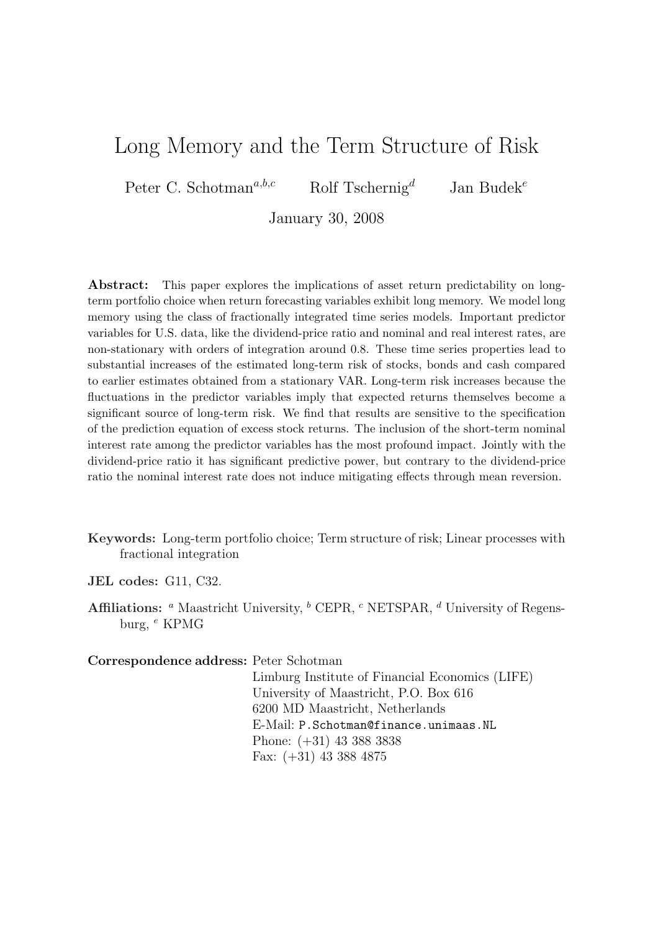# Long Memory and the Term Structure of Risk

Peter C. Schotman<sup>a,b,c</sup> Rolf Tschernig<sup>d</sup> Jan Budek<sup>e</sup>

January 30, 2008

Abstract: This paper explores the implications of asset return predictability on longterm portfolio choice when return forecasting variables exhibit long memory. We model long memory using the class of fractionally integrated time series models. Important predictor variables for U.S. data, like the dividend-price ratio and nominal and real interest rates, are non-stationary with orders of integration around 0.8. These time series properties lead to substantial increases of the estimated long-term risk of stocks, bonds and cash compared to earlier estimates obtained from a stationary VAR. Long-term risk increases because the fluctuations in the predictor variables imply that expected returns themselves become a significant source of long-term risk. We find that results are sensitive to the specification of the prediction equation of excess stock returns. The inclusion of the short-term nominal interest rate among the predictor variables has the most profound impact. Jointly with the dividend-price ratio it has significant predictive power, but contrary to the dividend-price ratio the nominal interest rate does not induce mitigating effects through mean reversion.

- Keywords: Long-term portfolio choice; Term structure of risk; Linear processes with fractional integration
- JEL codes: G11, C32.
- **Affiliations:** <sup>*a*</sup> Maastricht University, <sup>*b*</sup> CEPR, <sup>*c*</sup> NETSPAR, <sup>*d*</sup> University of Regensburg, <sup>e</sup> KPMG

Correspondence address: Peter Schotman

Limburg Institute of Financial Economics (LIFE) University of Maastricht, P.O. Box 616 6200 MD Maastricht, Netherlands E-Mail: P.Schotman@finance.unimaas.NL Phone: (+31) 43 388 3838 Fax: (+31) 43 388 4875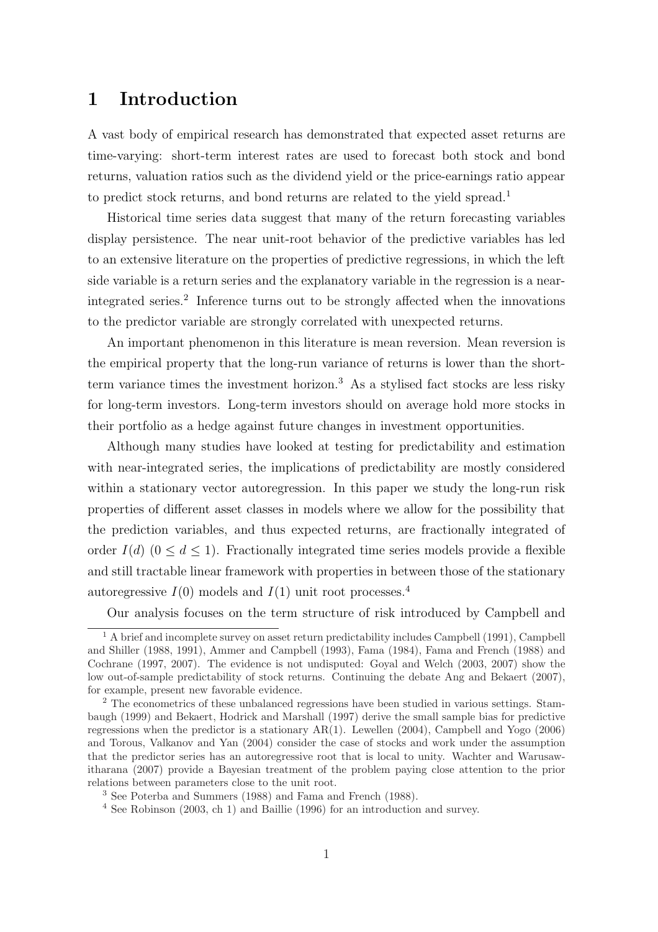### 1 Introduction

A vast body of empirical research has demonstrated that expected asset returns are time-varying: short-term interest rates are used to forecast both stock and bond returns, valuation ratios such as the dividend yield or the price-earnings ratio appear to predict stock returns, and bond returns are related to the yield spread.<sup>1</sup>

Historical time series data suggest that many of the return forecasting variables display persistence. The near unit-root behavior of the predictive variables has led to an extensive literature on the properties of predictive regressions, in which the left side variable is a return series and the explanatory variable in the regression is a nearintegrated series.<sup>2</sup> Inference turns out to be strongly affected when the innovations to the predictor variable are strongly correlated with unexpected returns.

An important phenomenon in this literature is mean reversion. Mean reversion is the empirical property that the long-run variance of returns is lower than the shortterm variance times the investment horizon.<sup>3</sup> As a stylised fact stocks are less risky for long-term investors. Long-term investors should on average hold more stocks in their portfolio as a hedge against future changes in investment opportunities.

Although many studies have looked at testing for predictability and estimation with near-integrated series, the implications of predictability are mostly considered within a stationary vector autoregression. In this paper we study the long-run risk properties of different asset classes in models where we allow for the possibility that the prediction variables, and thus expected returns, are fractionally integrated of order  $I(d)$  ( $0 \leq d \leq 1$ ). Fractionally integrated time series models provide a flexible and still tractable linear framework with properties in between those of the stationary autoregressive  $I(0)$  models and  $I(1)$  unit root processes.<sup>4</sup>

Our analysis focuses on the term structure of risk introduced by Campbell and

<sup>1</sup> A brief and incomplete survey on asset return predictability includes Campbell (1991), Campbell and Shiller (1988, 1991), Ammer and Campbell (1993), Fama (1984), Fama and French (1988) and Cochrane (1997, 2007). The evidence is not undisputed: Goyal and Welch (2003, 2007) show the low out-of-sample predictability of stock returns. Continuing the debate Ang and Bekaert (2007), for example, present new favorable evidence.

<sup>&</sup>lt;sup>2</sup> The econometrics of these unbalanced regressions have been studied in various settings. Stambaugh (1999) and Bekaert, Hodrick and Marshall (1997) derive the small sample bias for predictive regressions when the predictor is a stationary AR(1). Lewellen (2004), Campbell and Yogo (2006) and Torous, Valkanov and Yan (2004) consider the case of stocks and work under the assumption that the predictor series has an autoregressive root that is local to unity. Wachter and Warusawitharana (2007) provide a Bayesian treatment of the problem paying close attention to the prior relations between parameters close to the unit root.

<sup>3</sup> See Poterba and Summers (1988) and Fama and French (1988).

<sup>4</sup> See Robinson (2003, ch 1) and Baillie (1996) for an introduction and survey.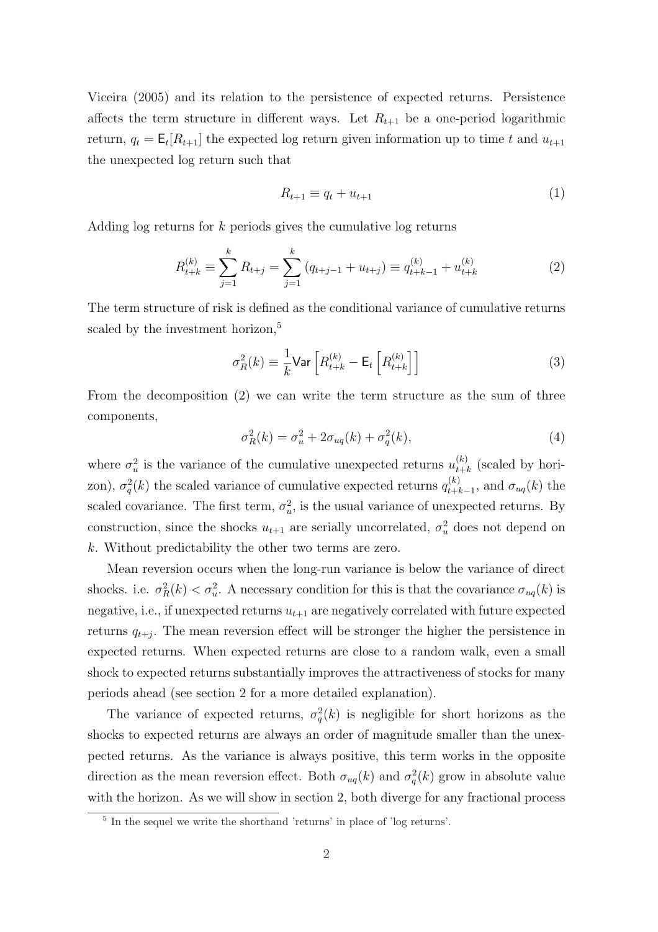Viceira (2005) and its relation to the persistence of expected returns. Persistence affects the term structure in different ways. Let  $R_{t+1}$  be a one-period logarithmic return,  $q_t = \mathsf{E}_t[R_{t+1}]$  the expected log return given information up to time t and  $u_{t+1}$ the unexpected log return such that

$$
R_{t+1} \equiv q_t + u_{t+1} \tag{1}
$$

Adding log returns for k periods gives the cumulative log returns

$$
R_{t+k}^{(k)} \equiv \sum_{j=1}^{k} R_{t+j} = \sum_{j=1}^{k} (q_{t+j-1} + u_{t+j}) \equiv q_{t+k-1}^{(k)} + u_{t+k}^{(k)}
$$
(2)

The term structure of risk is defined as the conditional variance of cumulative returns scaled by the investment horizon,<sup>5</sup>

$$
\sigma_R^2(k) \equiv \frac{1}{k} \text{Var}\left[R_{t+k}^{(k)} - \mathsf{E}_t\left[R_{t+k}^{(k)}\right]\right] \tag{3}
$$

From the decomposition (2) we can write the term structure as the sum of three components,

$$
\sigma_R^2(k) = \sigma_u^2 + 2\sigma_{uq}(k) + \sigma_q^2(k),\tag{4}
$$

where  $\sigma_u^2$  is the variance of the cumulative unexpected returns  $u_{t+i}^{(k)}$  $_{t+k}^{(k)}$  (scaled by horizon),  $\sigma_q^2(k)$  the scaled variance of cumulative expected returns  $q_{t+l}^{(k)}$  $_{t+k-1}^{(k)}$ , and  $\sigma_{uq}(k)$  the scaled covariance. The first term,  $\sigma_u^2$ , is the usual variance of unexpected returns. By construction, since the shocks  $u_{t+1}$  are serially uncorrelated,  $\sigma_u^2$  does not depend on k. Without predictability the other two terms are zero.

Mean reversion occurs when the long-run variance is below the variance of direct shocks. i.e.  $\sigma_R^2(k) < \sigma_u^2$ . A necessary condition for this is that the covariance  $\sigma_{uq}(k)$  is negative, i.e., if unexpected returns  $u_{t+1}$  are negatively correlated with future expected returns  $q_{t+j}$ . The mean reversion effect will be stronger the higher the persistence in expected returns. When expected returns are close to a random walk, even a small shock to expected returns substantially improves the attractiveness of stocks for many periods ahead (see section 2 for a more detailed explanation).

The variance of expected returns,  $\sigma_q^2(k)$  is negligible for short horizons as the shocks to expected returns are always an order of magnitude smaller than the unexpected returns. As the variance is always positive, this term works in the opposite direction as the mean reversion effect. Both  $\sigma_{uq}(k)$  and  $\sigma_q^2(k)$  grow in absolute value with the horizon. As we will show in section 2, both diverge for any fractional process

<sup>5</sup> In the sequel we write the shorthand 'returns' in place of 'log returns'.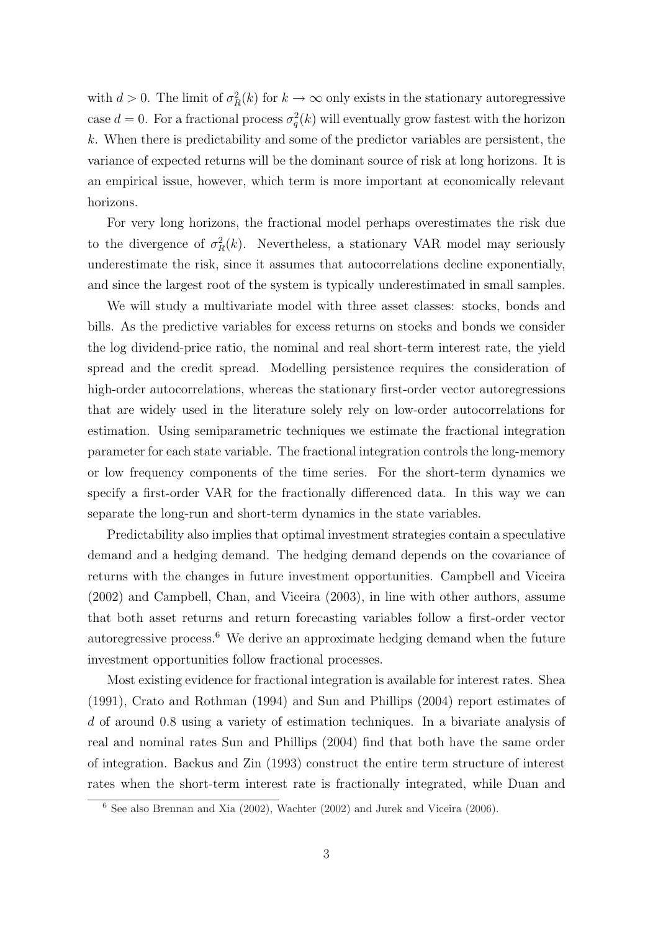with  $d > 0$ . The limit of  $\sigma_R^2(k)$  for  $k \to \infty$  only exists in the stationary autoregressive case  $d = 0$ . For a fractional process  $\sigma_q^2(k)$  will eventually grow fastest with the horizon  $k$ . When there is predictability and some of the predictor variables are persistent, the variance of expected returns will be the dominant source of risk at long horizons. It is an empirical issue, however, which term is more important at economically relevant horizons.

For very long horizons, the fractional model perhaps overestimates the risk due to the divergence of  $\sigma_R^2(k)$ . Nevertheless, a stationary VAR model may seriously underestimate the risk, since it assumes that autocorrelations decline exponentially, and since the largest root of the system is typically underestimated in small samples.

We will study a multivariate model with three asset classes: stocks, bonds and bills. As the predictive variables for excess returns on stocks and bonds we consider the log dividend-price ratio, the nominal and real short-term interest rate, the yield spread and the credit spread. Modelling persistence requires the consideration of high-order autocorrelations, whereas the stationary first-order vector autoregressions that are widely used in the literature solely rely on low-order autocorrelations for estimation. Using semiparametric techniques we estimate the fractional integration parameter for each state variable. The fractional integration controls the long-memory or low frequency components of the time series. For the short-term dynamics we specify a first-order VAR for the fractionally differenced data. In this way we can separate the long-run and short-term dynamics in the state variables.

Predictability also implies that optimal investment strategies contain a speculative demand and a hedging demand. The hedging demand depends on the covariance of returns with the changes in future investment opportunities. Campbell and Viceira (2002) and Campbell, Chan, and Viceira (2003), in line with other authors, assume that both asset returns and return forecasting variables follow a first-order vector autoregressive process.<sup>6</sup> We derive an approximate hedging demand when the future investment opportunities follow fractional processes.

Most existing evidence for fractional integration is available for interest rates. Shea (1991), Crato and Rothman (1994) and Sun and Phillips (2004) report estimates of d of around 0.8 using a variety of estimation techniques. In a bivariate analysis of real and nominal rates Sun and Phillips (2004) find that both have the same order of integration. Backus and Zin (1993) construct the entire term structure of interest rates when the short-term interest rate is fractionally integrated, while Duan and

 $\overline{6}$  See also Brennan and Xia (2002), Wachter (2002) and Jurek and Viceira (2006).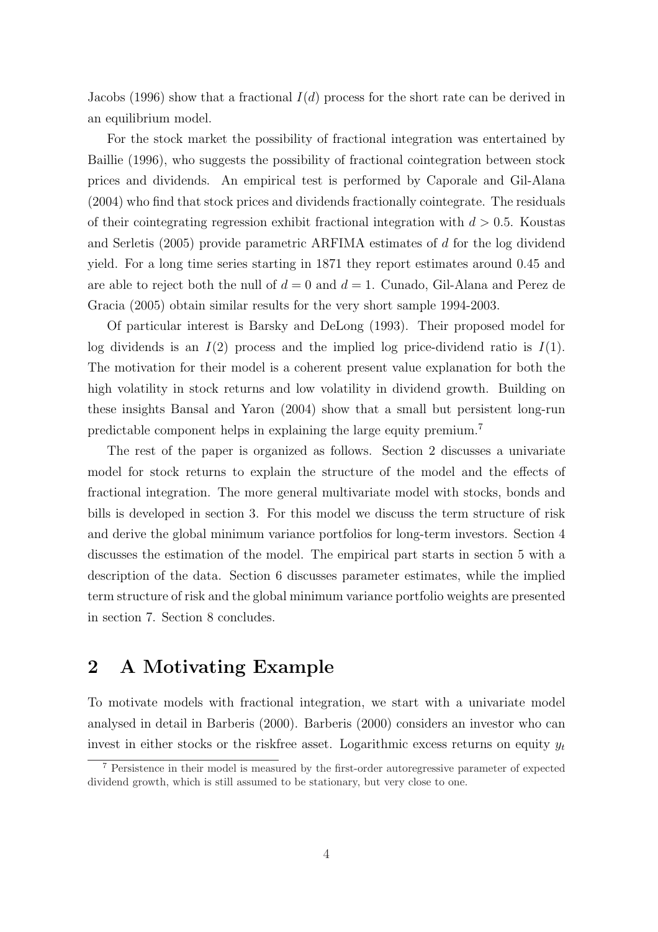Jacobs (1996) show that a fractional  $I(d)$  process for the short rate can be derived in an equilibrium model.

For the stock market the possibility of fractional integration was entertained by Baillie (1996), who suggests the possibility of fractional cointegration between stock prices and dividends. An empirical test is performed by Caporale and Gil-Alana (2004) who find that stock prices and dividends fractionally cointegrate. The residuals of their cointegrating regression exhibit fractional integration with  $d > 0.5$ . Koustas and Serletis (2005) provide parametric ARFIMA estimates of d for the log dividend yield. For a long time series starting in 1871 they report estimates around 0.45 and are able to reject both the null of  $d = 0$  and  $d = 1$ . Cunado, Gil-Alana and Perez de Gracia (2005) obtain similar results for the very short sample 1994-2003.

Of particular interest is Barsky and DeLong (1993). Their proposed model for log dividends is an  $I(2)$  process and the implied log price-dividend ratio is  $I(1)$ . The motivation for their model is a coherent present value explanation for both the high volatility in stock returns and low volatility in dividend growth. Building on these insights Bansal and Yaron (2004) show that a small but persistent long-run predictable component helps in explaining the large equity premium.<sup>7</sup>

The rest of the paper is organized as follows. Section 2 discusses a univariate model for stock returns to explain the structure of the model and the effects of fractional integration. The more general multivariate model with stocks, bonds and bills is developed in section 3. For this model we discuss the term structure of risk and derive the global minimum variance portfolios for long-term investors. Section 4 discusses the estimation of the model. The empirical part starts in section 5 with a description of the data. Section 6 discusses parameter estimates, while the implied term structure of risk and the global minimum variance portfolio weights are presented in section 7. Section 8 concludes.

### 2 A Motivating Example

To motivate models with fractional integration, we start with a univariate model analysed in detail in Barberis (2000). Barberis (2000) considers an investor who can invest in either stocks or the riskfree asset. Logarithmic excess returns on equity  $y_t$ 

<sup>7</sup> Persistence in their model is measured by the first-order autoregressive parameter of expected dividend growth, which is still assumed to be stationary, but very close to one.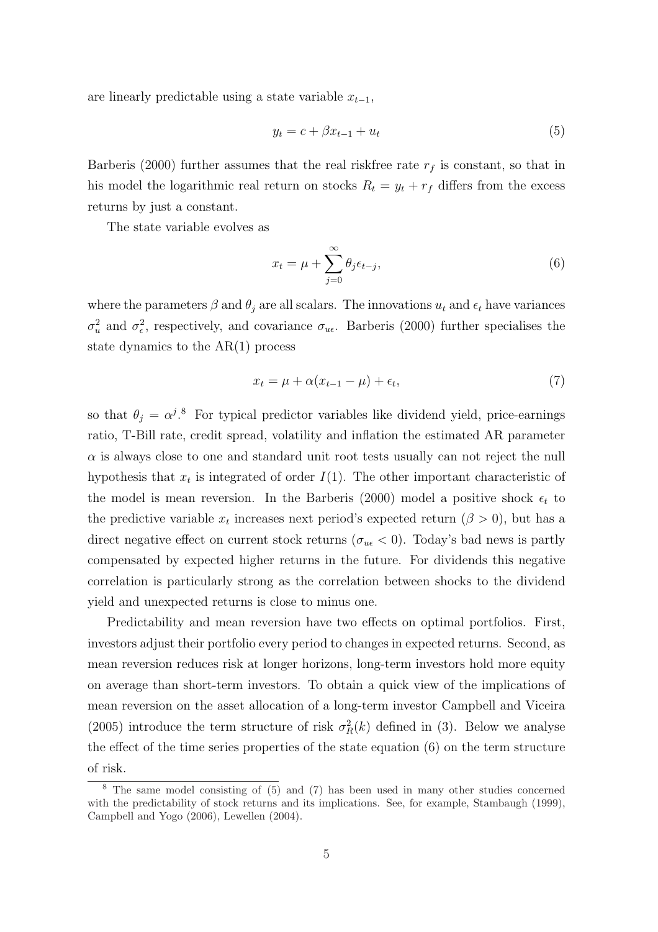are linearly predictable using a state variable  $x_{t-1}$ ,

$$
y_t = c + \beta x_{t-1} + u_t \tag{5}
$$

Barberis (2000) further assumes that the real riskfree rate  $r_f$  is constant, so that in his model the logarithmic real return on stocks  $R_t = y_t + r_f$  differs from the excess returns by just a constant.

The state variable evolves as

$$
x_t = \mu + \sum_{j=0}^{\infty} \theta_j \epsilon_{t-j}, \tag{6}
$$

where the parameters  $\beta$  and  $\theta_j$  are all scalars. The innovations  $u_t$  and  $\epsilon_t$  have variances  $\sigma_u^2$  and  $\sigma_{\epsilon}^2$ , respectively, and covariance  $\sigma_{u\epsilon}$ . Barberis (2000) further specialises the state dynamics to the  $AR(1)$  process

$$
x_t = \mu + \alpha (x_{t-1} - \mu) + \epsilon_t, \tag{7}
$$

so that  $\theta_j = \alpha^{j.8}$  For typical predictor variables like dividend yield, price-earnings ratio, T-Bill rate, credit spread, volatility and inflation the estimated AR parameter  $\alpha$  is always close to one and standard unit root tests usually can not reject the null hypothesis that  $x_t$  is integrated of order  $I(1)$ . The other important characteristic of the model is mean reversion. In the Barberis (2000) model a positive shock  $\epsilon_t$  to the predictive variable  $x_t$  increases next period's expected return  $(\beta > 0)$ , but has a direct negative effect on current stock returns ( $\sigma_{u\epsilon}$  < 0). Today's bad news is partly compensated by expected higher returns in the future. For dividends this negative correlation is particularly strong as the correlation between shocks to the dividend yield and unexpected returns is close to minus one.

Predictability and mean reversion have two effects on optimal portfolios. First, investors adjust their portfolio every period to changes in expected returns. Second, as mean reversion reduces risk at longer horizons, long-term investors hold more equity on average than short-term investors. To obtain a quick view of the implications of mean reversion on the asset allocation of a long-term investor Campbell and Viceira (2005) introduce the term structure of risk  $\sigma_R^2(k)$  defined in (3). Below we analyse the effect of the time series properties of the state equation (6) on the term structure of risk.

<sup>8</sup> The same model consisting of (5) and (7) has been used in many other studies concerned with the predictability of stock returns and its implications. See, for example, Stambaugh (1999), Campbell and Yogo (2006), Lewellen (2004).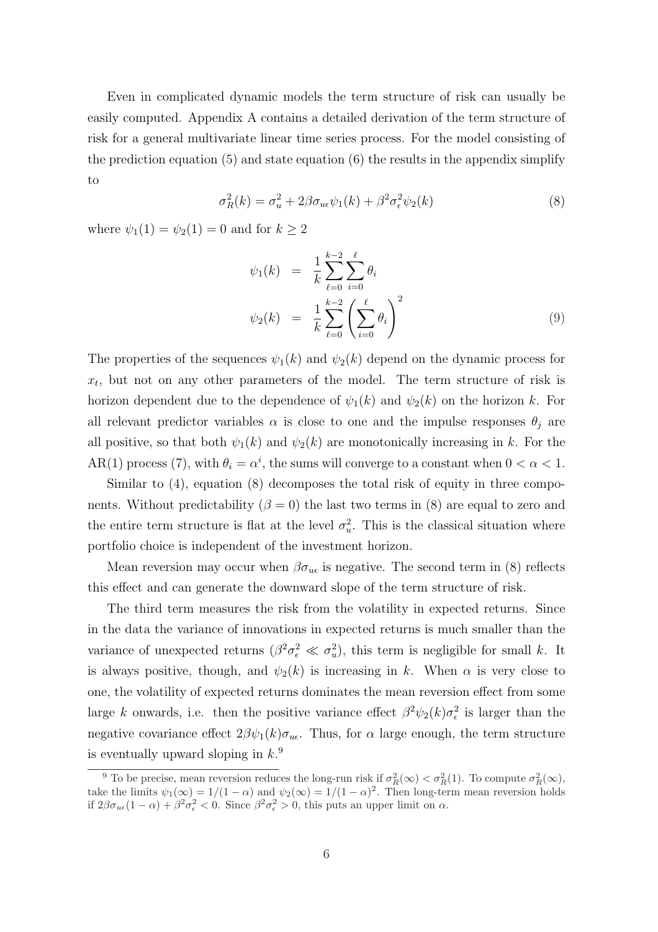Even in complicated dynamic models the term structure of risk can usually be easily computed. Appendix A contains a detailed derivation of the term structure of risk for a general multivariate linear time series process. For the model consisting of the prediction equation  $(5)$  and state equation  $(6)$  the results in the appendix simplify to

$$
\sigma_R^2(k) = \sigma_u^2 + 2\beta \sigma_{u\epsilon} \psi_1(k) + \beta^2 \sigma_\epsilon^2 \psi_2(k)
$$
\n(8)

where  $\psi_1(1) = \psi_2(1) = 0$  and for  $k \geq 2$ 

$$
\psi_1(k) = \frac{1}{k} \sum_{\ell=0}^{k-2} \sum_{i=0}^{\ell} \theta_i
$$
  

$$
\psi_2(k) = \frac{1}{k} \sum_{\ell=0}^{k-2} \left( \sum_{i=0}^{\ell} \theta_i \right)^2
$$
 (9)

The properties of the sequences  $\psi_1(k)$  and  $\psi_2(k)$  depend on the dynamic process for  $x_t$ , but not on any other parameters of the model. The term structure of risk is horizon dependent due to the dependence of  $\psi_1(k)$  and  $\psi_2(k)$  on the horizon k. For all relevant predictor variables  $\alpha$  is close to one and the impulse responses  $\theta_i$  are all positive, so that both  $\psi_1(k)$  and  $\psi_2(k)$  are monotonically increasing in k. For the AR(1) process (7), with  $\theta_i = \alpha^i$ , the sums will converge to a constant when  $0 < \alpha < 1$ .

Similar to (4), equation (8) decomposes the total risk of equity in three components. Without predictability  $(\beta = 0)$  the last two terms in (8) are equal to zero and the entire term structure is flat at the level  $\sigma_u^2$ . This is the classical situation where portfolio choice is independent of the investment horizon.

Mean reversion may occur when  $\beta \sigma_{u\epsilon}$  is negative. The second term in (8) reflects this effect and can generate the downward slope of the term structure of risk.

The third term measures the risk from the volatility in expected returns. Since in the data the variance of innovations in expected returns is much smaller than the variance of unexpected returns  $(\beta^2 \sigma_{\epsilon}^2 \ll \sigma_u^2)$ , this term is negligible for small k. It is always positive, though, and  $\psi_2(k)$  is increasing in k. When  $\alpha$  is very close to one, the volatility of expected returns dominates the mean reversion effect from some large k onwards, i.e. then the positive variance effect  $\beta^2 \psi_2(k) \sigma_\epsilon^2$  is larger than the negative covariance effect  $2\beta\psi_1(k)\sigma_{u\epsilon}$ . Thus, for  $\alpha$  large enough, the term structure is eventually upward sloping in  $k$ <sup>9</sup>

<sup>&</sup>lt;sup>9</sup> To be precise, mean reversion reduces the long-run risk if  $\sigma_R^2(\infty) < \sigma_R^2(1)$ . To compute  $\sigma_R^2(\infty)$ , take the limits  $\psi_1(\infty) = 1/(1-\alpha)$  and  $\psi_2(\infty) = 1/(1-\alpha)^2$ . Then long-term mean reversion holds if  $2βσ_{u\epsilon}(1-α) + β²σ_{\epsilon}² < 0$ . Since  $β²σ_{\epsilon}² > 0$ , this puts an upper limit on α.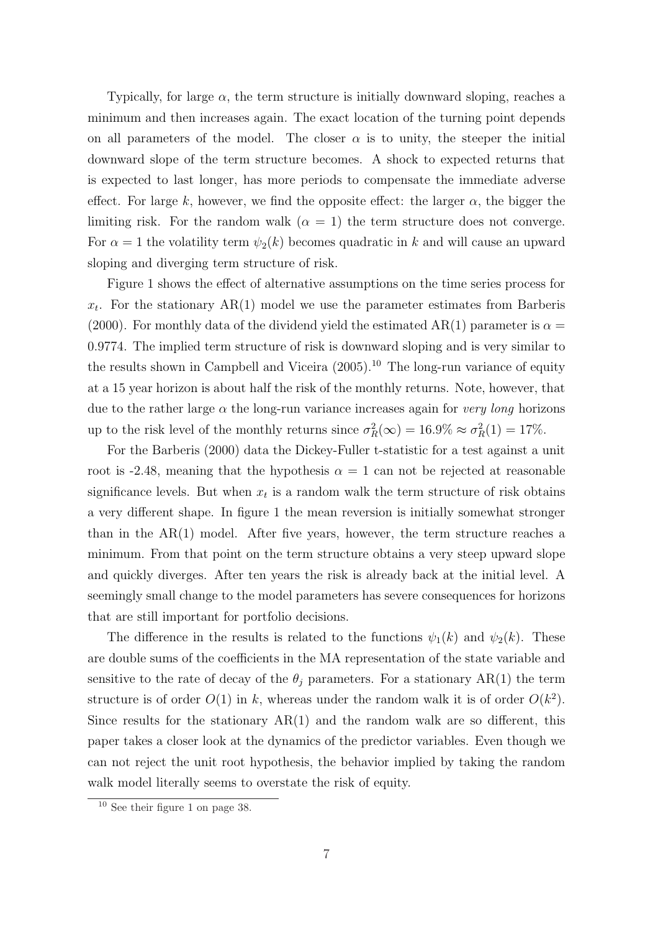Typically, for large  $\alpha$ , the term structure is initially downward sloping, reaches a minimum and then increases again. The exact location of the turning point depends on all parameters of the model. The closer  $\alpha$  is to unity, the steeper the initial downward slope of the term structure becomes. A shock to expected returns that is expected to last longer, has more periods to compensate the immediate adverse effect. For large k, however, we find the opposite effect: the larger  $\alpha$ , the bigger the limiting risk. For the random walk  $(\alpha = 1)$  the term structure does not converge. For  $\alpha = 1$  the volatility term  $\psi_2(k)$  becomes quadratic in k and will cause an upward sloping and diverging term structure of risk.

Figure 1 shows the effect of alternative assumptions on the time series process for  $x_t$ . For the stationary  $AR(1)$  model we use the parameter estimates from Barberis (2000). For monthly data of the dividend yield the estimated AR(1) parameter is  $\alpha =$ 0.9774. The implied term structure of risk is downward sloping and is very similar to the results shown in Campbell and Viceira  $(2005)$ .<sup>10</sup> The long-run variance of equity at a 15 year horizon is about half the risk of the monthly returns. Note, however, that due to the rather large  $\alpha$  the long-run variance increases again for very long horizons up to the risk level of the monthly returns since  $\sigma_R^2(\infty) = 16.9\% \approx \sigma_R^2(1) = 17\%.$ 

For the Barberis (2000) data the Dickey-Fuller t-statistic for a test against a unit root is -2.48, meaning that the hypothesis  $\alpha = 1$  can not be rejected at reasonable significance levels. But when  $x_t$  is a random walk the term structure of risk obtains a very different shape. In figure 1 the mean reversion is initially somewhat stronger than in the  $AR(1)$  model. After five years, however, the term structure reaches a minimum. From that point on the term structure obtains a very steep upward slope and quickly diverges. After ten years the risk is already back at the initial level. A seemingly small change to the model parameters has severe consequences for horizons that are still important for portfolio decisions.

The difference in the results is related to the functions  $\psi_1(k)$  and  $\psi_2(k)$ . These are double sums of the coefficients in the MA representation of the state variable and sensitive to the rate of decay of the  $\theta_j$  parameters. For a stationary AR(1) the term structure is of order  $O(1)$  in k, whereas under the random walk it is of order  $O(k^2)$ . Since results for the stationary  $AR(1)$  and the random walk are so different, this paper takes a closer look at the dynamics of the predictor variables. Even though we can not reject the unit root hypothesis, the behavior implied by taking the random walk model literally seems to overstate the risk of equity.

<sup>10</sup> See their figure 1 on page 38.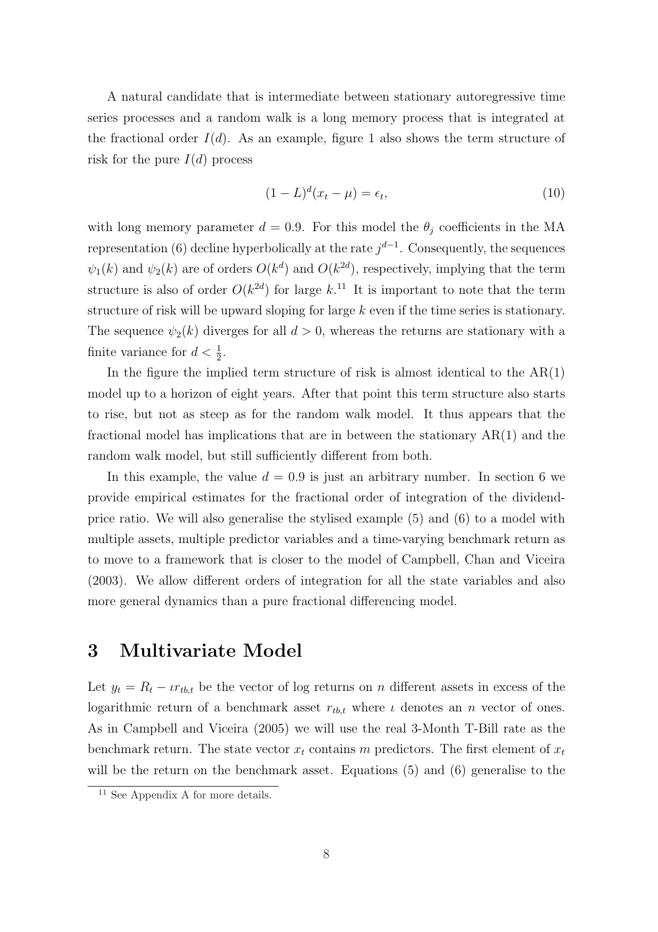A natural candidate that is intermediate between stationary autoregressive time series processes and a random walk is a long memory process that is integrated at the fractional order  $I(d)$ . As an example, figure 1 also shows the term structure of risk for the pure  $I(d)$  process

$$
(1 - L)^d (x_t - \mu) = \epsilon_t,\tag{10}
$$

with long memory parameter  $d = 0.9$ . For this model the  $\theta_i$  coefficients in the MA representation (6) decline hyperbolically at the rate  $j^{d-1}$ . Consequently, the sequences  $\psi_1(k)$  and  $\psi_2(k)$  are of orders  $O(k^d)$  and  $O(k^{2d})$ , respectively, implying that the term structure is also of order  $O(k^{2d})$  for large k.<sup>11</sup> It is important to note that the term structure of risk will be upward sloping for large  $k$  even if the time series is stationary. The sequence  $\psi_2(k)$  diverges for all  $d > 0$ , whereas the returns are stationary with a finite variance for  $d < \frac{1}{2}$ .

In the figure the implied term structure of risk is almost identical to the  $AR(1)$ model up to a horizon of eight years. After that point this term structure also starts to rise, but not as steep as for the random walk model. It thus appears that the fractional model has implications that are in between the stationary  $AR(1)$  and the random walk model, but still sufficiently different from both.

In this example, the value  $d = 0.9$  is just an arbitrary number. In section 6 we provide empirical estimates for the fractional order of integration of the dividendprice ratio. We will also generalise the stylised example (5) and (6) to a model with multiple assets, multiple predictor variables and a time-varying benchmark return as to move to a framework that is closer to the model of Campbell, Chan and Viceira (2003). We allow different orders of integration for all the state variables and also more general dynamics than a pure fractional differencing model.

### 3 Multivariate Model

Let  $y_t = R_t - \iota r_{t,b,t}$  be the vector of log returns on n different assets in excess of the logarithmic return of a benchmark asset  $r_{th,t}$  where  $\iota$  denotes an n vector of ones. As in Campbell and Viceira (2005) we will use the real 3-Month T-Bill rate as the benchmark return. The state vector  $x_t$  contains m predictors. The first element of  $x_t$ will be the return on the benchmark asset. Equations (5) and (6) generalise to the

<sup>&</sup>lt;sup>11</sup> See Appendix A for more details.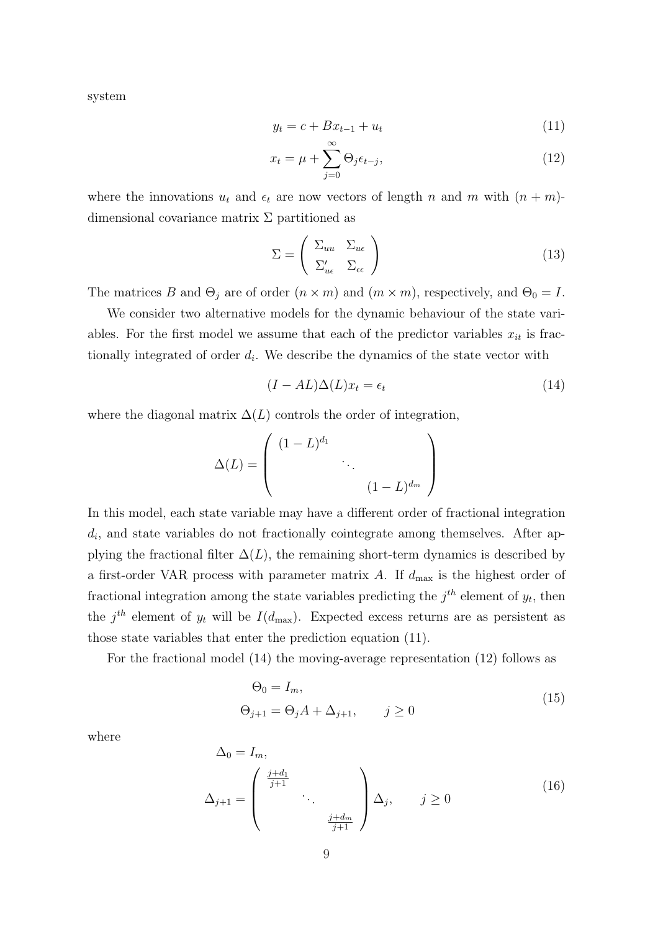system

$$
y_t = c + Bx_{t-1} + u_t \tag{11}
$$

$$
x_t = \mu + \sum_{j=0}^{\infty} \Theta_j \epsilon_{t-j}, \qquad (12)
$$

where the innovations  $u_t$  and  $\epsilon_t$  are now vectors of length n and m with  $(n + m)$ dimensional covariance matrix  $\Sigma$  partitioned as

$$
\Sigma = \begin{pmatrix} \Sigma_{uu} & \Sigma_{u\epsilon} \\ \Sigma'_{u\epsilon} & \Sigma_{\epsilon\epsilon} \end{pmatrix}
$$
 (13)

The matrices B and  $\Theta_j$  are of order  $(n \times m)$  and  $(m \times m)$ , respectively, and  $\Theta_0 = I$ .

We consider two alternative models for the dynamic behaviour of the state variables. For the first model we assume that each of the predictor variables  $x_{it}$  is fractionally integrated of order  $d_i$ . We describe the dynamics of the state vector with

$$
(I - AL)\Delta(L)x_t = \epsilon_t \tag{14}
$$

where the diagonal matrix  $\Delta(L)$  controls the order of integration,

$$
\Delta(L) = \begin{pmatrix} (1-L)^{d_1} & & & \\ & \ddots & & \\ & & (1-L)^{d_m} \end{pmatrix}
$$

In this model, each state variable may have a different order of fractional integration  $d_i$ , and state variables do not fractionally cointegrate among themselves. After applying the fractional filter  $\Delta(L)$ , the remaining short-term dynamics is described by a first-order VAR process with parameter matrix  $A$ . If  $d_{\text{max}}$  is the highest order of fractional integration among the state variables predicting the  $j^{th}$  element of  $y_t$ , then the j<sup>th</sup> element of  $y_t$  will be  $I(d_{\text{max}})$ . Expected excess returns are as persistent as those state variables that enter the prediction equation (11).

For the fractional model (14) the moving-average representation (12) follows as

$$
\Theta_0 = I_m,
$$
  
\n
$$
\Theta_{j+1} = \Theta_j A + \Delta_{j+1}, \qquad j \ge 0
$$
\n(15)

where

$$
\Delta_0 = I_m,
$$
\n
$$
\Delta_{j+1} = \begin{pmatrix} \frac{j+d_1}{j+1} & & \\ & \ddots & \\ & & \frac{j+d_m}{j+1} \end{pmatrix} \Delta_j, \qquad j \ge 0 \tag{16}
$$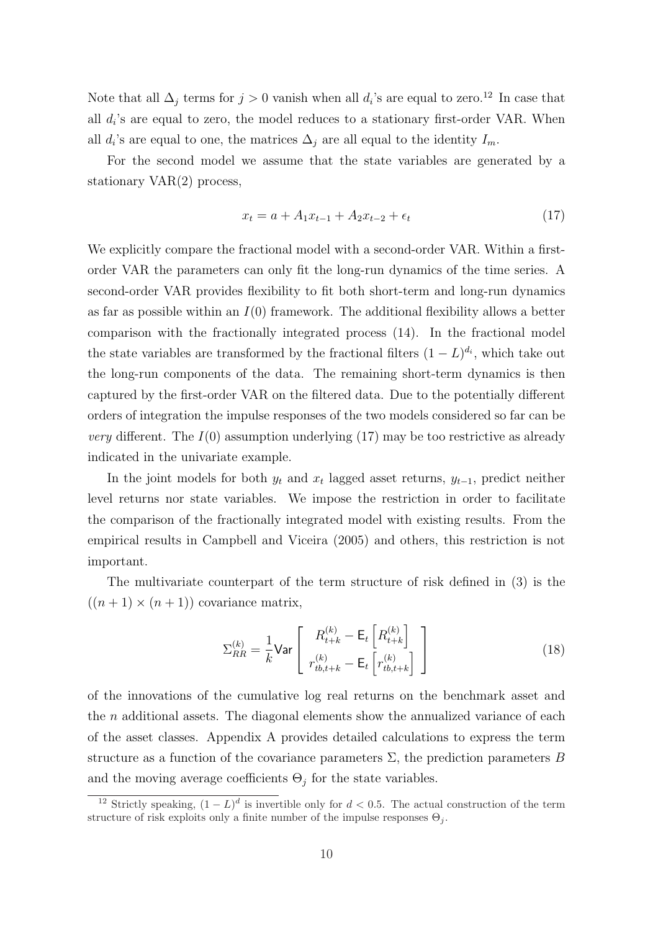Note that all  $\Delta_j$  terms for  $j > 0$  vanish when all  $d_i$ 's are equal to zero.<sup>12</sup> In case that all  $d_i$ 's are equal to zero, the model reduces to a stationary first-order VAR. When all  $d_i$ 's are equal to one, the matrices  $\Delta_j$  are all equal to the identity  $I_m$ .

For the second model we assume that the state variables are generated by a stationary VAR(2) process,

$$
x_t = a + A_1 x_{t-1} + A_2 x_{t-2} + \epsilon_t \tag{17}
$$

We explicitly compare the fractional model with a second-order VAR. Within a firstorder VAR the parameters can only fit the long-run dynamics of the time series. A second-order VAR provides flexibility to fit both short-term and long-run dynamics as far as possible within an  $I(0)$  framework. The additional flexibility allows a better comparison with the fractionally integrated process (14). In the fractional model the state variables are transformed by the fractional filters  $(1 - L)^{d_i}$ , which take out the long-run components of the data. The remaining short-term dynamics is then captured by the first-order VAR on the filtered data. Due to the potentially different orders of integration the impulse responses of the two models considered so far can be *very* different. The  $I(0)$  assumption underlying (17) may be too restrictive as already indicated in the univariate example.

In the joint models for both  $y_t$  and  $x_t$  lagged asset returns,  $y_{t-1}$ , predict neither level returns nor state variables. We impose the restriction in order to facilitate the comparison of the fractionally integrated model with existing results. From the empirical results in Campbell and Viceira (2005) and others, this restriction is not important.

The multivariate counterpart of the term structure of risk defined in (3) is the  $((n+1) \times (n+1))$  covariance matrix,

$$
\Sigma_{RR}^{(k)} = \frac{1}{k} \text{Var}\left[\begin{array}{c} R_{t+k}^{(k)} - \mathsf{E}_{t} \left[R_{t+k}^{(k)}\right] \\ r_{tb,t+k}^{(k)} - \mathsf{E}_{t} \left[r_{tb,t+k}^{(k)}\right] \end{array}\right] \tag{18}
$$

of the innovations of the cumulative log real returns on the benchmark asset and the  $n$  additional assets. The diagonal elements show the annualized variance of each of the asset classes. Appendix A provides detailed calculations to express the term structure as a function of the covariance parameters  $\Sigma$ , the prediction parameters B and the moving average coefficients  $\Theta_j$  for the state variables.

<sup>&</sup>lt;sup>12</sup> Strictly speaking,  $(1 - L)^d$  is invertible only for  $d < 0.5$ . The actual construction of the term structure of risk exploits only a finite number of the impulse responses  $\Theta_i$ .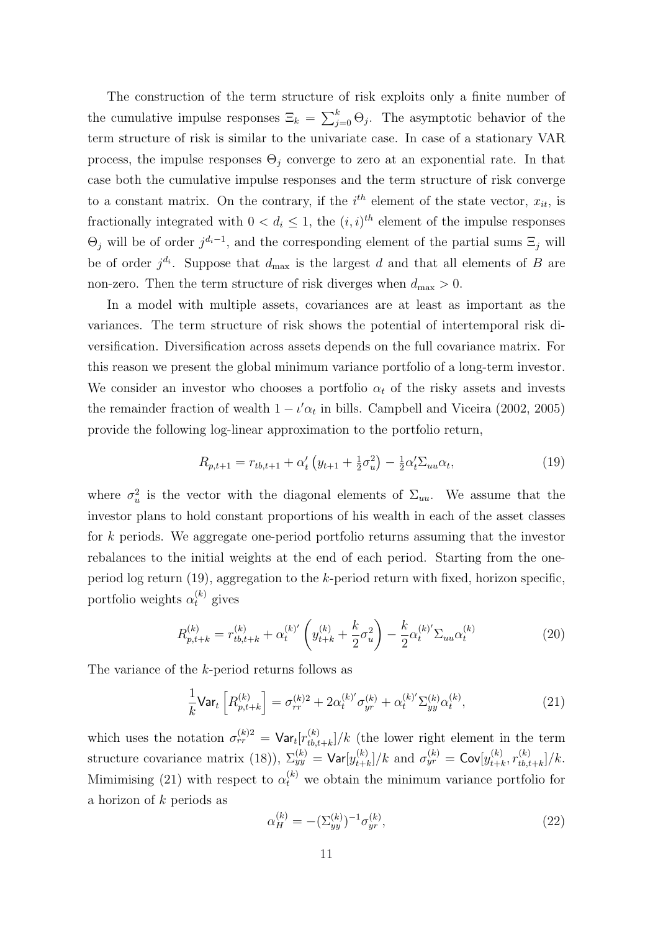The construction of the term structure of risk exploits only a finite number of the cumulative impulse responses  $\Xi_k = \sum_{i=1}^{k}$  $_{j=0}^{k}$   $\Theta_{j}$ . The asymptotic behavior of the term structure of risk is similar to the univariate case. In case of a stationary VAR process, the impulse responses  $\Theta_i$  converge to zero at an exponential rate. In that case both the cumulative impulse responses and the term structure of risk converge to a constant matrix. On the contrary, if the  $i<sup>th</sup>$  element of the state vector,  $x_{it}$ , is fractionally integrated with  $0 < d_i \leq 1$ , the  $(i, i)^{th}$  element of the impulse responses  $\Theta_j$  will be of order  $j^{d_i-1}$ , and the corresponding element of the partial sums  $\Xi_j$  will be of order  $j^{d_i}$ . Suppose that  $d_{\text{max}}$  is the largest d and that all elements of B are non-zero. Then the term structure of risk diverges when  $d_{\text{max}} > 0$ .

In a model with multiple assets, covariances are at least as important as the variances. The term structure of risk shows the potential of intertemporal risk diversification. Diversification across assets depends on the full covariance matrix. For this reason we present the global minimum variance portfolio of a long-term investor. We consider an investor who chooses a portfolio  $\alpha_t$  of the risky assets and invests the remainder fraction of wealth  $1 - \iota' \alpha_t$  in bills. Campbell and Viceira (2002, 2005) provide the following log-linear approximation to the portfolio return,

$$
R_{p,t+1} = r_{tb,t+1} + \alpha'_t \left( y_{t+1} + \frac{1}{2} \sigma_u^2 \right) - \frac{1}{2} \alpha'_t \Sigma_{uu} \alpha_t, \tag{19}
$$

where  $\sigma_u^2$  is the vector with the diagonal elements of  $\Sigma_{uu}$ . We assume that the investor plans to hold constant proportions of his wealth in each of the asset classes for k periods. We aggregate one-period portfolio returns assuming that the investor rebalances to the initial weights at the end of each period. Starting from the oneperiod log return (19), aggregation to the k-period return with fixed, horizon specific, portfolio weights  $\alpha_t^{(k)}$  gives

$$
R_{p,t+k}^{(k)} = r_{tb,t+k}^{(k)} + \alpha_t^{(k)'} \left( y_{t+k}^{(k)} + \frac{k}{2} \sigma_u^2 \right) - \frac{k}{2} \alpha_t^{(k)'} \Sigma_{uu} \alpha_t^{(k)}
$$
(20)

The variance of the k-period returns follows as

$$
\frac{1}{k} \mathsf{Var}_t \left[ R_{p,t+k}^{(k)} \right] = \sigma_{rr}^{(k)2} + 2\alpha_t^{(k)'} \sigma_{yr}^{(k)} + \alpha_t^{(k)'} \Sigma_{yy}^{(k)} \alpha_t^{(k)},\tag{21}
$$

which uses the notation  $\sigma_{rr}^{(k)2} = \textsf{Var}_t[r_{th}^{(k)}]$  $\binom{k}{t}$ ,  $\binom{k}{t+k}/k$  (the lower right element in the term structure covariance matrix (18)),  $\Sigma_{yy}^{(k)} = \textsf{Var}[y_{t+i}^{(k)}]$  $[t_{t+k}^{(k)}]/k$  and  $\sigma_{yr}^{(k)} = \mathsf{Cov}[y_{t+l}^{(k)}]$  $_{t+k}^{(k)},r_{tb,t}^{(k)}$  $_{tb,t+k}^{(\kappa)}/k.$ Mimimising (21) with respect to  $\alpha_t^{(k)}$  we obtain the minimum variance portfolio for a horizon of  $k$  periods as

$$
\alpha_H^{(k)} = -(\Sigma_{yy}^{(k)})^{-1} \sigma_{yr}^{(k)},\tag{22}
$$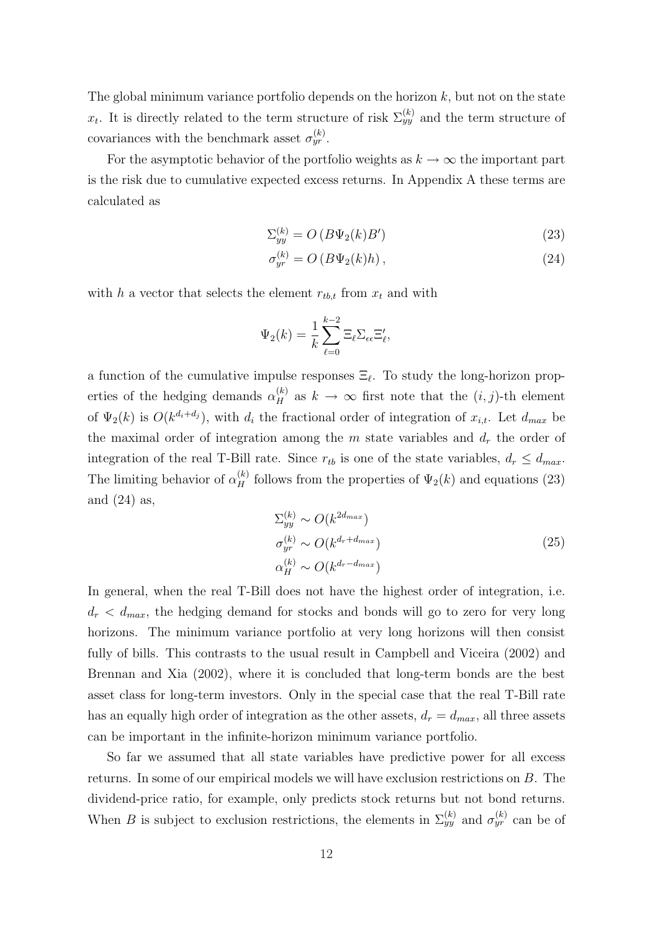The global minimum variance portfolio depends on the horizon  $k$ , but not on the state  $x_t$ . It is directly related to the term structure of risk  $\Sigma_{yy}^{(k)}$  and the term structure of covariances with the benchmark asset  $\sigma_{yr}^{(k)}$ .

For the asymptotic behavior of the portfolio weights as  $k \to \infty$  the important part is the risk due to cumulative expected excess returns. In Appendix A these terms are calculated as

$$
\Sigma_{yy}^{(k)} = O\left(B\Psi_2(k)B'\right) \tag{23}
$$

$$
\sigma_{yr}^{(k)} = O\left(B\Psi_2(k)h\right),\tag{24}
$$

with h a vector that selects the element  $r_{tb,t}$  from  $x_t$  and with

$$
\Psi_2(k) = \frac{1}{k} \sum_{\ell=0}^{k-2} \Xi_{\ell} \Sigma_{\epsilon \epsilon} \Xi'_{\ell},
$$

a function of the cumulative impulse responses  $\Xi_{\ell}$ . To study the long-horizon properties of the hedging demands  $\alpha_H^{(k)}$  as  $k \to \infty$  first note that the  $(i, j)$ -th element of  $\Psi_2(k)$  is  $O(k^{d_i+d_j})$ , with  $d_i$  the fractional order of integration of  $x_{i,t}$ . Let  $d_{max}$  be the maximal order of integration among the  $m$  state variables and  $d_r$  the order of integration of the real T-Bill rate. Since  $r_{tb}$  is one of the state variables,  $d_r \leq d_{max}$ . The limiting behavior of  $\alpha_H^{(k)}$  follows from the properties of  $\Psi_2(k)$  and equations (23) and  $(24)$  as,

$$
\Sigma_{yy}^{(k)} \sim O(k^{2d_{max}})
$$
\n
$$
\sigma_{yr}^{(k)} \sim O(k^{d_r + d_{max}})
$$
\n
$$
\alpha_H^{(k)} \sim O(k^{d_r - d_{max}})
$$
\n(25)

In general, when the real T-Bill does not have the highest order of integration, i.e.  $d_r < d_{max}$ , the hedging demand for stocks and bonds will go to zero for very long horizons. The minimum variance portfolio at very long horizons will then consist fully of bills. This contrasts to the usual result in Campbell and Viceira (2002) and Brennan and Xia (2002), where it is concluded that long-term bonds are the best asset class for long-term investors. Only in the special case that the real T-Bill rate has an equally high order of integration as the other assets,  $d_r = d_{max}$ , all three assets can be important in the infinite-horizon minimum variance portfolio.

So far we assumed that all state variables have predictive power for all excess returns. In some of our empirical models we will have exclusion restrictions on B. The dividend-price ratio, for example, only predicts stock returns but not bond returns. When B is subject to exclusion restrictions, the elements in  $\Sigma_{yy}^{(k)}$  and  $\sigma_{yr}^{(k)}$  can be of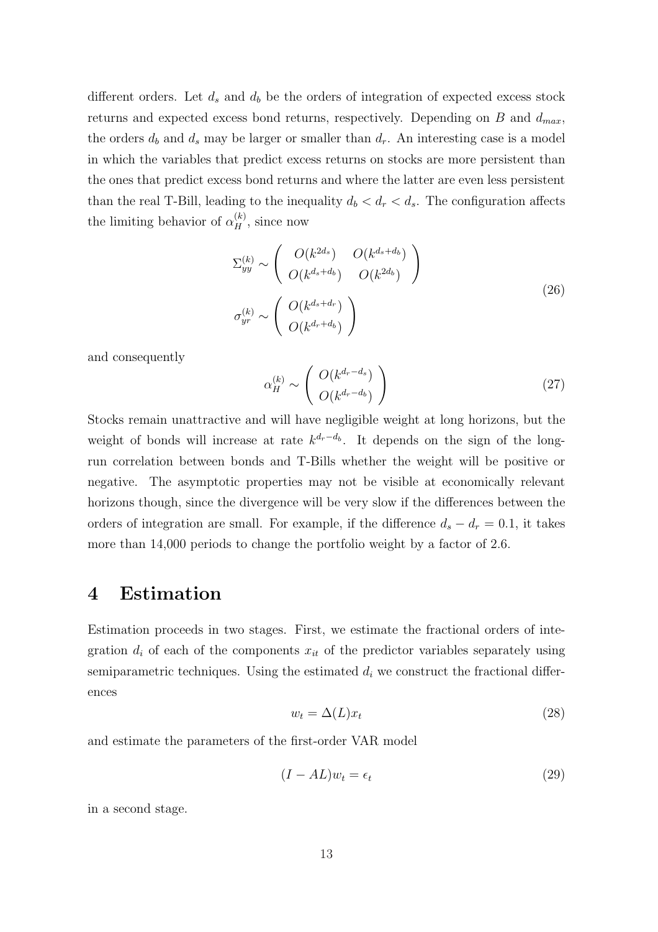different orders. Let  $d_s$  and  $d_b$  be the orders of integration of expected excess stock returns and expected excess bond returns, respectively. Depending on  $B$  and  $d_{max}$ , the orders  $d_b$  and  $d_s$  may be larger or smaller than  $d_r$ . An interesting case is a model in which the variables that predict excess returns on stocks are more persistent than the ones that predict excess bond returns and where the latter are even less persistent than the real T-Bill, leading to the inequality  $d_b < d_r < d_s$ . The configuration affects the limiting behavior of  $\alpha_H^{(k)}$ , since now

$$
\Sigma_{yy}^{(k)} \sim \begin{pmatrix} O(k^{2d_s}) & O(k^{d_s+d_b}) \\ O(k^{d_s+d_b}) & O(k^{2d_b}) \end{pmatrix}
$$
  
\n
$$
\sigma_{yr}^{(k)} \sim \begin{pmatrix} O(k^{d_s+d_r}) \\ O(k^{d_r+d_b}) \end{pmatrix}
$$
\n(26)

and consequently

$$
\alpha_H^{(k)} \sim \left( \begin{array}{c} O(k^{d_r - d_s}) \\ O(k^{d_r - d_b}) \end{array} \right) \tag{27}
$$

Stocks remain unattractive and will have negligible weight at long horizons, but the weight of bonds will increase at rate  $k^{d_r-d_b}$ . It depends on the sign of the longrun correlation between bonds and T-Bills whether the weight will be positive or negative. The asymptotic properties may not be visible at economically relevant horizons though, since the divergence will be very slow if the differences between the orders of integration are small. For example, if the difference  $d_s - d_r = 0.1$ , it takes more than 14,000 periods to change the portfolio weight by a factor of 2.6.

### 4 Estimation

Estimation proceeds in two stages. First, we estimate the fractional orders of integration  $d_i$  of each of the components  $x_{it}$  of the predictor variables separately using semiparametric techniques. Using the estimated  $d_i$  we construct the fractional differences

$$
w_t = \Delta(L)x_t \tag{28}
$$

and estimate the parameters of the first-order VAR model

$$
(I - AL)w_t = \epsilon_t \tag{29}
$$

in a second stage.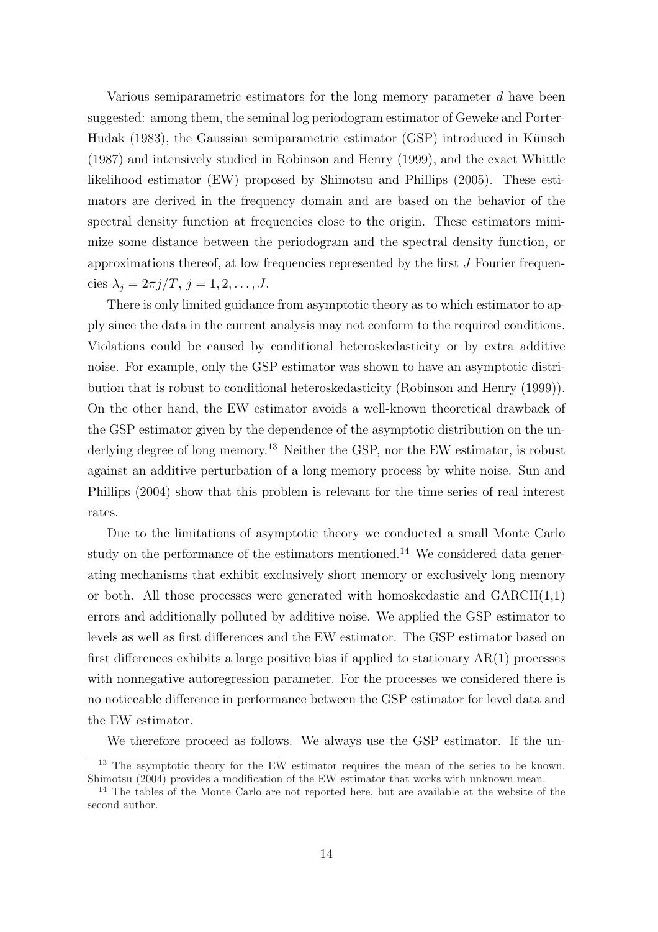Various semiparametric estimators for the long memory parameter d have been suggested: among them, the seminal log periodogram estimator of Geweke and Porter-Hudak  $(1983)$ , the Gaussian semiparametric estimator  $(GSP)$  introduced in Künsch (1987) and intensively studied in Robinson and Henry (1999), and the exact Whittle likelihood estimator (EW) proposed by Shimotsu and Phillips (2005). These estimators are derived in the frequency domain and are based on the behavior of the spectral density function at frequencies close to the origin. These estimators minimize some distance between the periodogram and the spectral density function, or approximations thereof, at low frequencies represented by the first J Fourier frequencies  $\lambda_i = 2\pi j/T$ ,  $j = 1, 2, \ldots, J$ .

There is only limited guidance from asymptotic theory as to which estimator to apply since the data in the current analysis may not conform to the required conditions. Violations could be caused by conditional heteroskedasticity or by extra additive noise. For example, only the GSP estimator was shown to have an asymptotic distribution that is robust to conditional heteroskedasticity (Robinson and Henry (1999)). On the other hand, the EW estimator avoids a well-known theoretical drawback of the GSP estimator given by the dependence of the asymptotic distribution on the underlying degree of long memory.<sup>13</sup> Neither the GSP, nor the EW estimator, is robust against an additive perturbation of a long memory process by white noise. Sun and Phillips (2004) show that this problem is relevant for the time series of real interest rates.

Due to the limitations of asymptotic theory we conducted a small Monte Carlo study on the performance of the estimators mentioned.<sup>14</sup> We considered data generating mechanisms that exhibit exclusively short memory or exclusively long memory or both. All those processes were generated with homoskedastic and  $GARCH(1,1)$ errors and additionally polluted by additive noise. We applied the GSP estimator to levels as well as first differences and the EW estimator. The GSP estimator based on first differences exhibits a large positive bias if applied to stationary  $AR(1)$  processes with nonnegative autoregression parameter. For the processes we considered there is no noticeable difference in performance between the GSP estimator for level data and the EW estimator.

We therefore proceed as follows. We always use the GSP estimator. If the un-

<sup>&</sup>lt;sup>13</sup> The asymptotic theory for the EW estimator requires the mean of the series to be known. Shimotsu (2004) provides a modification of the EW estimator that works with unknown mean.

<sup>&</sup>lt;sup>14</sup> The tables of the Monte Carlo are not reported here, but are available at the website of the second author.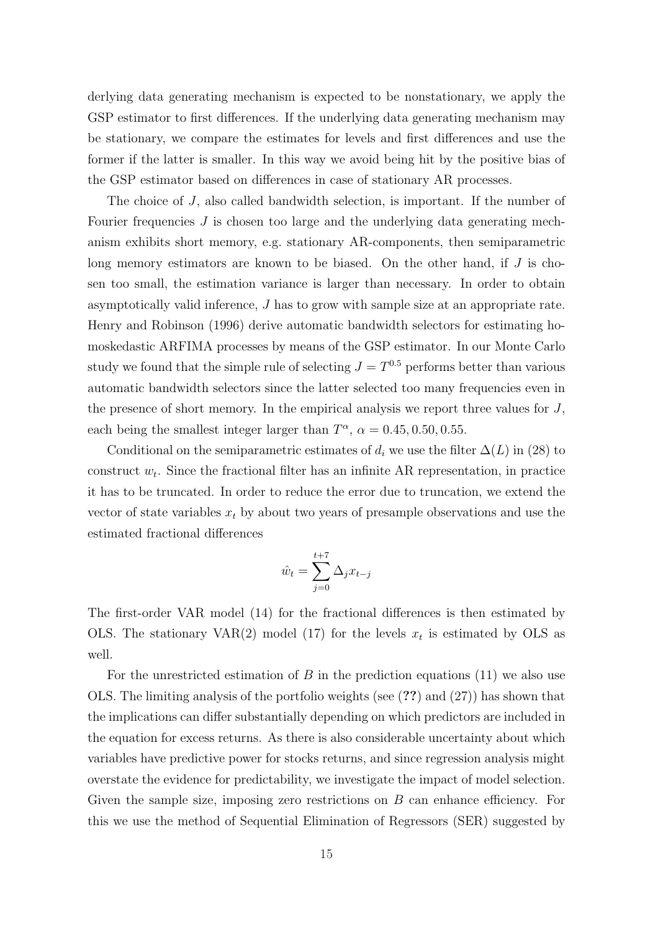derlying data generating mechanism is expected to be nonstationary, we apply the GSP estimator to first differences. If the underlying data generating mechanism may be stationary, we compare the estimates for levels and first differences and use the former if the latter is smaller. In this way we avoid being hit by the positive bias of the GSP estimator based on differences in case of stationary AR processes.

The choice of J, also called bandwidth selection, is important. If the number of Fourier frequencies  $J$  is chosen too large and the underlying data generating mechanism exhibits short memory, e.g. stationary AR-components, then semiparametric long memory estimators are known to be biased. On the other hand, if  $J$  is chosen too small, the estimation variance is larger than necessary. In order to obtain asymptotically valid inference, J has to grow with sample size at an appropriate rate. Henry and Robinson (1996) derive automatic bandwidth selectors for estimating homoskedastic ARFIMA processes by means of the GSP estimator. In our Monte Carlo study we found that the simple rule of selecting  $J = T^{0.5}$  performs better than various automatic bandwidth selectors since the latter selected too many frequencies even in the presence of short memory. In the empirical analysis we report three values for  $J$ , each being the smallest integer larger than  $T^{\alpha}$ ,  $\alpha = 0.45, 0.50, 0.55$ .

Conditional on the semiparametric estimates of  $d_i$  we use the filter  $\Delta(L)$  in (28) to construct  $w_t$ . Since the fractional filter has an infinite AR representation, in practice it has to be truncated. In order to reduce the error due to truncation, we extend the vector of state variables  $x_t$  by about two years of presample observations and use the estimated fractional differences

$$
\hat{w}_t = \sum_{j=0}^{t+7} \Delta_j x_{t-j}
$$

The first-order VAR model (14) for the fractional differences is then estimated by OLS. The stationary VAR(2) model (17) for the levels  $x_t$  is estimated by OLS as well.

For the unrestricted estimation of  $B$  in the prediction equations (11) we also use OLS. The limiting analysis of the portfolio weights (see (??) and (27)) has shown that the implications can differ substantially depending on which predictors are included in the equation for excess returns. As there is also considerable uncertainty about which variables have predictive power for stocks returns, and since regression analysis might overstate the evidence for predictability, we investigate the impact of model selection. Given the sample size, imposing zero restrictions on  $B$  can enhance efficiency. For this we use the method of Sequential Elimination of Regressors (SER) suggested by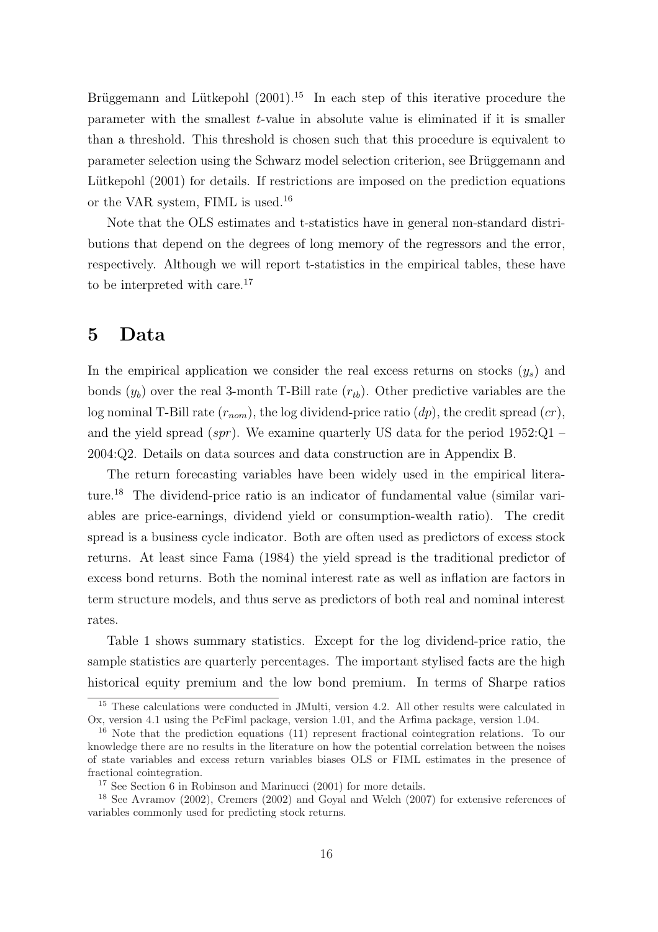Brüggemann and Lütkepohl  $(2001)$ .<sup>15</sup> In each step of this iterative procedure the parameter with the smallest  $t$ -value in absolute value is eliminated if it is smaller than a threshold. This threshold is chosen such that this procedure is equivalent to parameter selection using the Schwarz model selection criterion, see Brüggemann and Lütkepohl  $(2001)$  for details. If restrictions are imposed on the prediction equations or the VAR system, FIML is used.<sup>16</sup>

Note that the OLS estimates and t-statistics have in general non-standard distributions that depend on the degrees of long memory of the regressors and the error, respectively. Although we will report t-statistics in the empirical tables, these have to be interpreted with care.<sup>17</sup>

### 5 Data

In the empirical application we consider the real excess returns on stocks  $(y_s)$  and bonds  $(y_b)$  over the real 3-month T-Bill rate  $(r_{tb})$ . Other predictive variables are the log nominal T-Bill rate  $(r_{nom})$ , the log dividend-price ratio  $(dp)$ , the credit spread  $(cr)$ , and the yield spread  $(spr)$ . We examine quarterly US data for the period 1952:Q1 – 2004:Q2. Details on data sources and data construction are in Appendix B.

The return forecasting variables have been widely used in the empirical literature.<sup>18</sup> The dividend-price ratio is an indicator of fundamental value (similar variables are price-earnings, dividend yield or consumption-wealth ratio). The credit spread is a business cycle indicator. Both are often used as predictors of excess stock returns. At least since Fama (1984) the yield spread is the traditional predictor of excess bond returns. Both the nominal interest rate as well as inflation are factors in term structure models, and thus serve as predictors of both real and nominal interest rates.

Table 1 shows summary statistics. Except for the log dividend-price ratio, the sample statistics are quarterly percentages. The important stylised facts are the high historical equity premium and the low bond premium. In terms of Sharpe ratios

<sup>&</sup>lt;sup>15</sup> These calculations were conducted in JMulti, version 4.2. All other results were calculated in Ox, version 4.1 using the PcFiml package, version 1.01, and the Arfima package, version 1.04.

<sup>&</sup>lt;sup>16</sup> Note that the prediction equations (11) represent fractional cointegration relations. To our knowledge there are no results in the literature on how the potential correlation between the noises of state variables and excess return variables biases OLS or FIML estimates in the presence of fractional cointegration.

<sup>17</sup> See Section 6 in Robinson and Marinucci (2001) for more details.

<sup>18</sup> See Avramov (2002), Cremers (2002) and Goyal and Welch (2007) for extensive references of variables commonly used for predicting stock returns.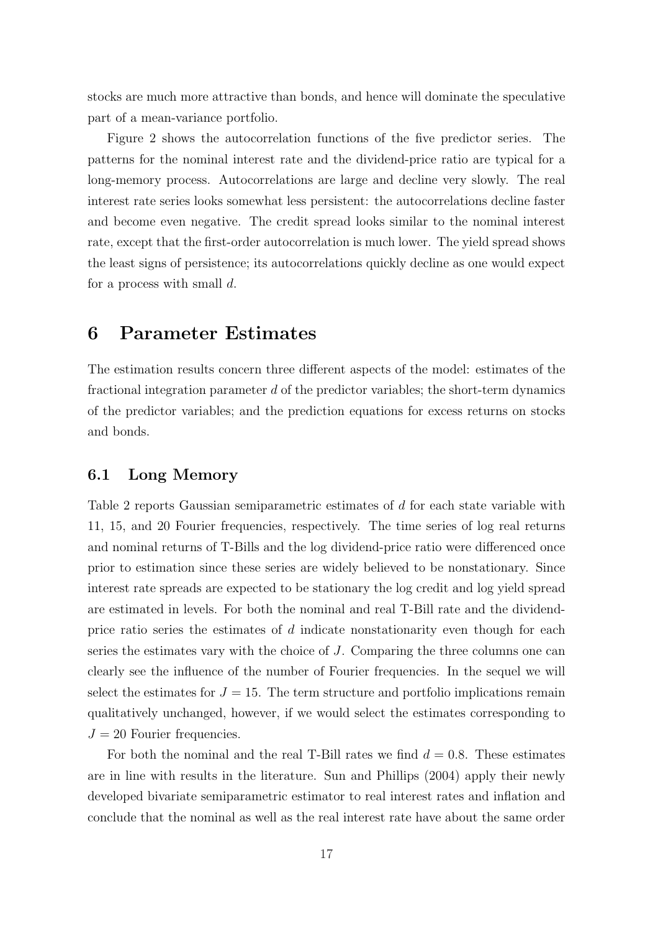stocks are much more attractive than bonds, and hence will dominate the speculative part of a mean-variance portfolio.

Figure 2 shows the autocorrelation functions of the five predictor series. The patterns for the nominal interest rate and the dividend-price ratio are typical for a long-memory process. Autocorrelations are large and decline very slowly. The real interest rate series looks somewhat less persistent: the autocorrelations decline faster and become even negative. The credit spread looks similar to the nominal interest rate, except that the first-order autocorrelation is much lower. The yield spread shows the least signs of persistence; its autocorrelations quickly decline as one would expect for a process with small  $d$ .

### 6 Parameter Estimates

The estimation results concern three different aspects of the model: estimates of the fractional integration parameter  $d$  of the predictor variables; the short-term dynamics of the predictor variables; and the prediction equations for excess returns on stocks and bonds.

#### 6.1 Long Memory

Table 2 reports Gaussian semiparametric estimates of d for each state variable with 11, 15, and 20 Fourier frequencies, respectively. The time series of log real returns and nominal returns of T-Bills and the log dividend-price ratio were differenced once prior to estimation since these series are widely believed to be nonstationary. Since interest rate spreads are expected to be stationary the log credit and log yield spread are estimated in levels. For both the nominal and real T-Bill rate and the dividendprice ratio series the estimates of  $d$  indicate nonstationarity even though for each series the estimates vary with the choice of J. Comparing the three columns one can clearly see the influence of the number of Fourier frequencies. In the sequel we will select the estimates for  $J = 15$ . The term structure and portfolio implications remain qualitatively unchanged, however, if we would select the estimates corresponding to  $J = 20$  Fourier frequencies.

For both the nominal and the real T-Bill rates we find  $d = 0.8$ . These estimates are in line with results in the literature. Sun and Phillips (2004) apply their newly developed bivariate semiparametric estimator to real interest rates and inflation and conclude that the nominal as well as the real interest rate have about the same order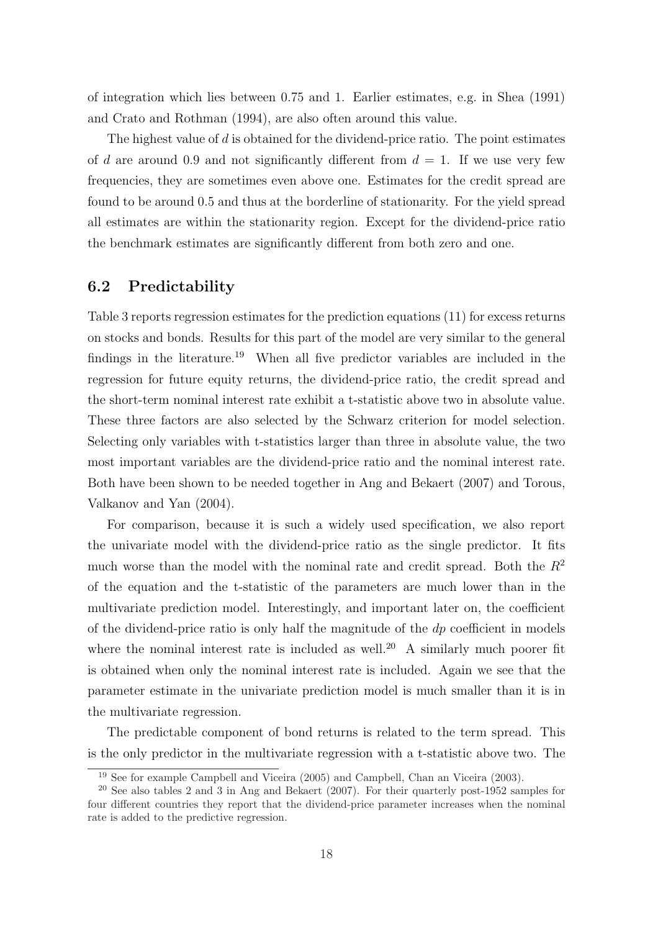of integration which lies between 0.75 and 1. Earlier estimates, e.g. in Shea (1991) and Crato and Rothman (1994), are also often around this value.

The highest value of  $d$  is obtained for the dividend-price ratio. The point estimates of d are around 0.9 and not significantly different from  $d = 1$ . If we use very few frequencies, they are sometimes even above one. Estimates for the credit spread are found to be around 0.5 and thus at the borderline of stationarity. For the yield spread all estimates are within the stationarity region. Except for the dividend-price ratio the benchmark estimates are significantly different from both zero and one.

### 6.2 Predictability

Table 3 reports regression estimates for the prediction equations (11) for excess returns on stocks and bonds. Results for this part of the model are very similar to the general findings in the literature.<sup>19</sup> When all five predictor variables are included in the regression for future equity returns, the dividend-price ratio, the credit spread and the short-term nominal interest rate exhibit a t-statistic above two in absolute value. These three factors are also selected by the Schwarz criterion for model selection. Selecting only variables with t-statistics larger than three in absolute value, the two most important variables are the dividend-price ratio and the nominal interest rate. Both have been shown to be needed together in Ang and Bekaert (2007) and Torous, Valkanov and Yan (2004).

For comparison, because it is such a widely used specification, we also report the univariate model with the dividend-price ratio as the single predictor. It fits much worse than the model with the nominal rate and credit spread. Both the  $R^2$ of the equation and the t-statistic of the parameters are much lower than in the multivariate prediction model. Interestingly, and important later on, the coefficient of the dividend-price ratio is only half the magnitude of the  $dp$  coefficient in models where the nominal interest rate is included as well.<sup>20</sup> A similarly much poorer fit is obtained when only the nominal interest rate is included. Again we see that the parameter estimate in the univariate prediction model is much smaller than it is in the multivariate regression.

The predictable component of bond returns is related to the term spread. This is the only predictor in the multivariate regression with a t-statistic above two. The

<sup>19</sup> See for example Campbell and Viceira (2005) and Campbell, Chan an Viceira (2003).

<sup>&</sup>lt;sup>20</sup> See also tables 2 and 3 in Ang and Bekaert (2007). For their quarterly post-1952 samples for four different countries they report that the dividend-price parameter increases when the nominal rate is added to the predictive regression.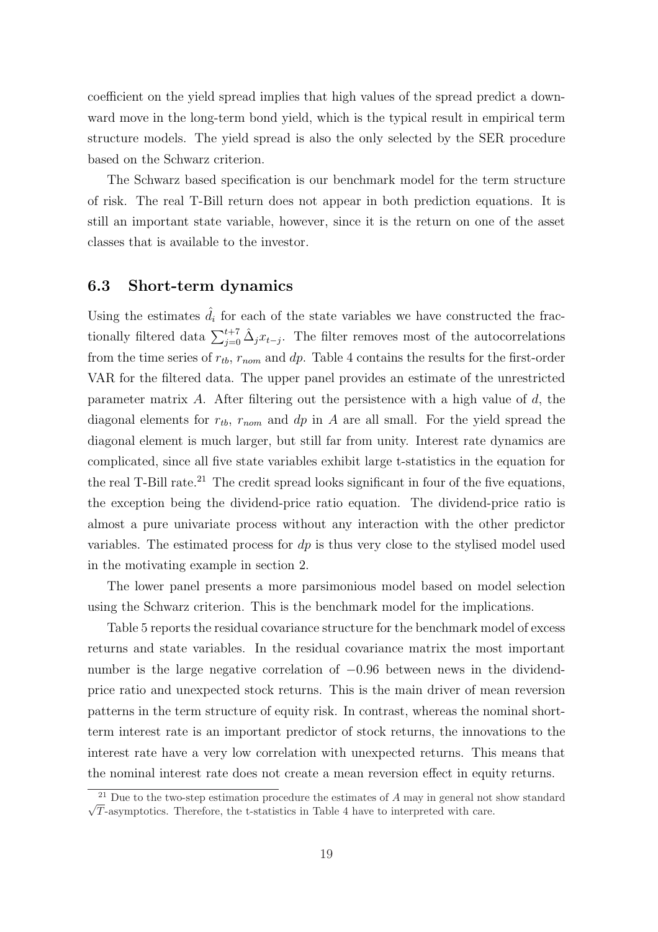coefficient on the yield spread implies that high values of the spread predict a downward move in the long-term bond yield, which is the typical result in empirical term structure models. The yield spread is also the only selected by the SER procedure based on the Schwarz criterion.

The Schwarz based specification is our benchmark model for the term structure of risk. The real T-Bill return does not appear in both prediction equations. It is still an important state variable, however, since it is the return on one of the asset classes that is available to the investor.

### 6.3 Short-term dynamics

Using the estimates  $\hat{d}_i$  for each of the state variables we have constructed the fractionally filtered data  $\sum_{j=0}^{t+7} \hat{\Delta}_j x_{t-j}$ . The filter removes most of the autocorrelations from the time series of  $r_{tb}$ ,  $r_{nom}$  and dp. Table 4 contains the results for the first-order VAR for the filtered data. The upper panel provides an estimate of the unrestricted parameter matrix A. After filtering out the persistence with a high value of  $d$ , the diagonal elements for  $r_{tb}$ ,  $r_{nom}$  and  $dp$  in A are all small. For the yield spread the diagonal element is much larger, but still far from unity. Interest rate dynamics are complicated, since all five state variables exhibit large t-statistics in the equation for the real T-Bill rate.<sup>21</sup> The credit spread looks significant in four of the five equations, the exception being the dividend-price ratio equation. The dividend-price ratio is almost a pure univariate process without any interaction with the other predictor variables. The estimated process for  $dp$  is thus very close to the stylised model used in the motivating example in section 2.

The lower panel presents a more parsimonious model based on model selection using the Schwarz criterion. This is the benchmark model for the implications.

Table 5 reports the residual covariance structure for the benchmark model of excess returns and state variables. In the residual covariance matrix the most important number is the large negative correlation of  $-0.96$  between news in the dividendprice ratio and unexpected stock returns. This is the main driver of mean reversion patterns in the term structure of equity risk. In contrast, whereas the nominal shortterm interest rate is an important predictor of stock returns, the innovations to the interest rate have a very low correlation with unexpected returns. This means that the nominal interest rate does not create a mean reversion effect in equity returns.

<sup>√</sup> <sup>21</sup> Due to the two-step estimation procedure the estimates of  $A$  may in general not show standard T-asymptotics. Therefore, the t-statistics in Table 4 have to interpreted with care.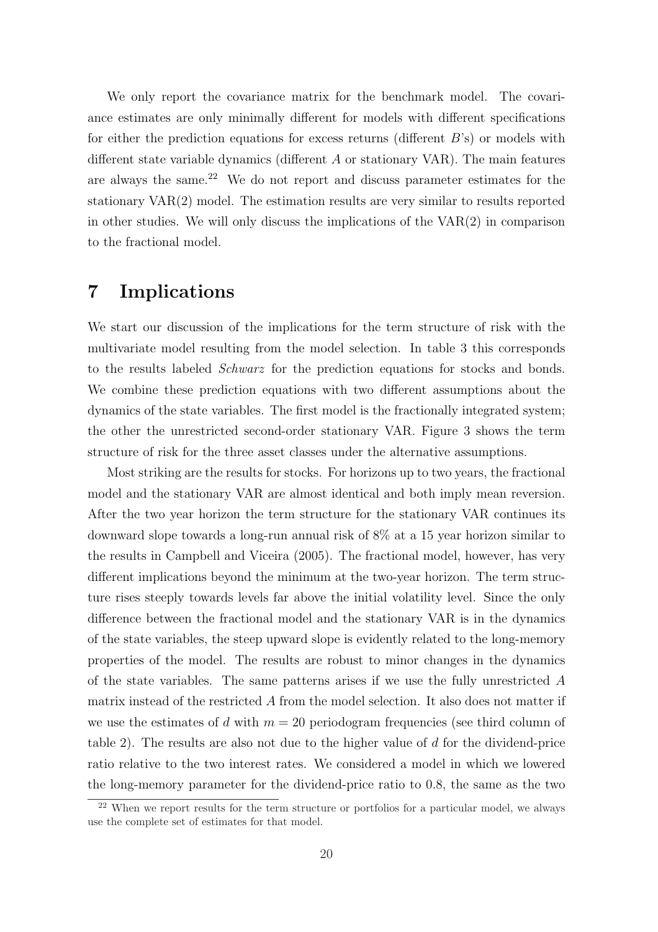We only report the covariance matrix for the benchmark model. The covariance estimates are only minimally different for models with different specifications for either the prediction equations for excess returns (different  $B$ 's) or models with different state variable dynamics (different A or stationary VAR). The main features are always the same.<sup>22</sup> We do not report and discuss parameter estimates for the stationary VAR(2) model. The estimation results are very similar to results reported in other studies. We will only discuss the implications of the  $VAR(2)$  in comparison to the fractional model.

### 7 Implications

We start our discussion of the implications for the term structure of risk with the multivariate model resulting from the model selection. In table 3 this corresponds to the results labeled Schwarz for the prediction equations for stocks and bonds. We combine these prediction equations with two different assumptions about the dynamics of the state variables. The first model is the fractionally integrated system; the other the unrestricted second-order stationary VAR. Figure 3 shows the term structure of risk for the three asset classes under the alternative assumptions.

Most striking are the results for stocks. For horizons up to two years, the fractional model and the stationary VAR are almost identical and both imply mean reversion. After the two year horizon the term structure for the stationary VAR continues its downward slope towards a long-run annual risk of 8% at a 15 year horizon similar to the results in Campbell and Viceira (2005). The fractional model, however, has very different implications beyond the minimum at the two-year horizon. The term structure rises steeply towards levels far above the initial volatility level. Since the only difference between the fractional model and the stationary VAR is in the dynamics of the state variables, the steep upward slope is evidently related to the long-memory properties of the model. The results are robust to minor changes in the dynamics of the state variables. The same patterns arises if we use the fully unrestricted A matrix instead of the restricted A from the model selection. It also does not matter if we use the estimates of d with  $m = 20$  periodogram frequencies (see third column of table 2). The results are also not due to the higher value of d for the dividend-price ratio relative to the two interest rates. We considered a model in which we lowered the long-memory parameter for the dividend-price ratio to 0.8, the same as the two

<sup>&</sup>lt;sup>22</sup> When we report results for the term structure or portfolios for a particular model, we always use the complete set of estimates for that model.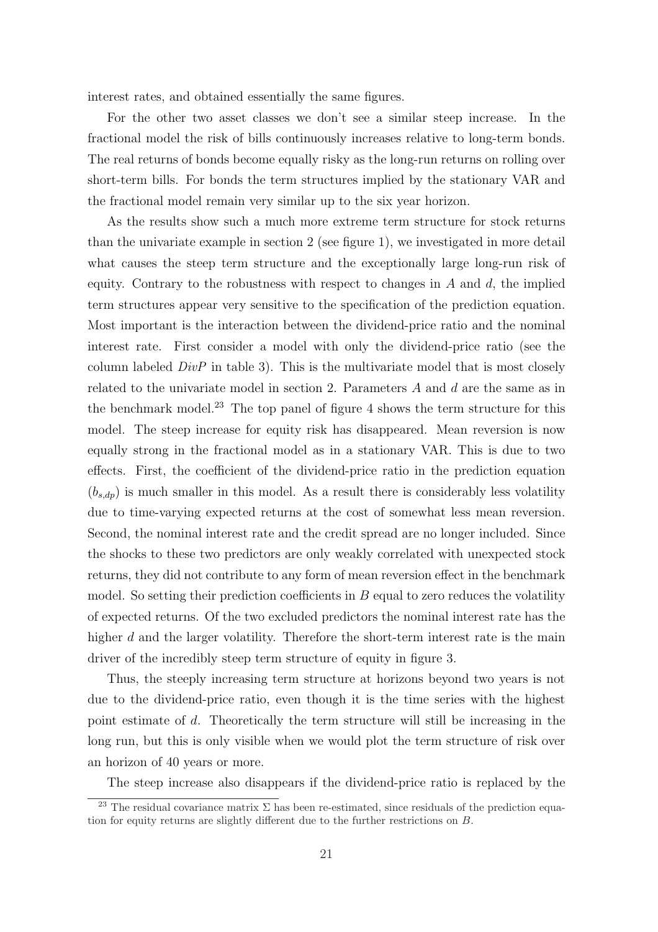interest rates, and obtained essentially the same figures.

For the other two asset classes we don't see a similar steep increase. In the fractional model the risk of bills continuously increases relative to long-term bonds. The real returns of bonds become equally risky as the long-run returns on rolling over short-term bills. For bonds the term structures implied by the stationary VAR and the fractional model remain very similar up to the six year horizon.

As the results show such a much more extreme term structure for stock returns than the univariate example in section 2 (see figure 1), we investigated in more detail what causes the steep term structure and the exceptionally large long-run risk of equity. Contrary to the robustness with respect to changes in  $A$  and  $d$ , the implied term structures appear very sensitive to the specification of the prediction equation. Most important is the interaction between the dividend-price ratio and the nominal interest rate. First consider a model with only the dividend-price ratio (see the column labeled  $DivP$  in table 3). This is the multivariate model that is most closely related to the univariate model in section 2. Parameters A and d are the same as in the benchmark model.<sup>23</sup> The top panel of figure 4 shows the term structure for this model. The steep increase for equity risk has disappeared. Mean reversion is now equally strong in the fractional model as in a stationary VAR. This is due to two effects. First, the coefficient of the dividend-price ratio in the prediction equation  $(b_{s,dp})$  is much smaller in this model. As a result there is considerably less volatility due to time-varying expected returns at the cost of somewhat less mean reversion. Second, the nominal interest rate and the credit spread are no longer included. Since the shocks to these two predictors are only weakly correlated with unexpected stock returns, they did not contribute to any form of mean reversion effect in the benchmark model. So setting their prediction coefficients in  $B$  equal to zero reduces the volatility of expected returns. Of the two excluded predictors the nominal interest rate has the higher d and the larger volatility. Therefore the short-term interest rate is the main driver of the incredibly steep term structure of equity in figure 3.

Thus, the steeply increasing term structure at horizons beyond two years is not due to the dividend-price ratio, even though it is the time series with the highest point estimate of d. Theoretically the term structure will still be increasing in the long run, but this is only visible when we would plot the term structure of risk over an horizon of 40 years or more.

The steep increase also disappears if the dividend-price ratio is replaced by the

<sup>&</sup>lt;sup>23</sup> The residual covariance matrix  $\Sigma$  has been re-estimated, since residuals of the prediction equation for equity returns are slightly different due to the further restrictions on B.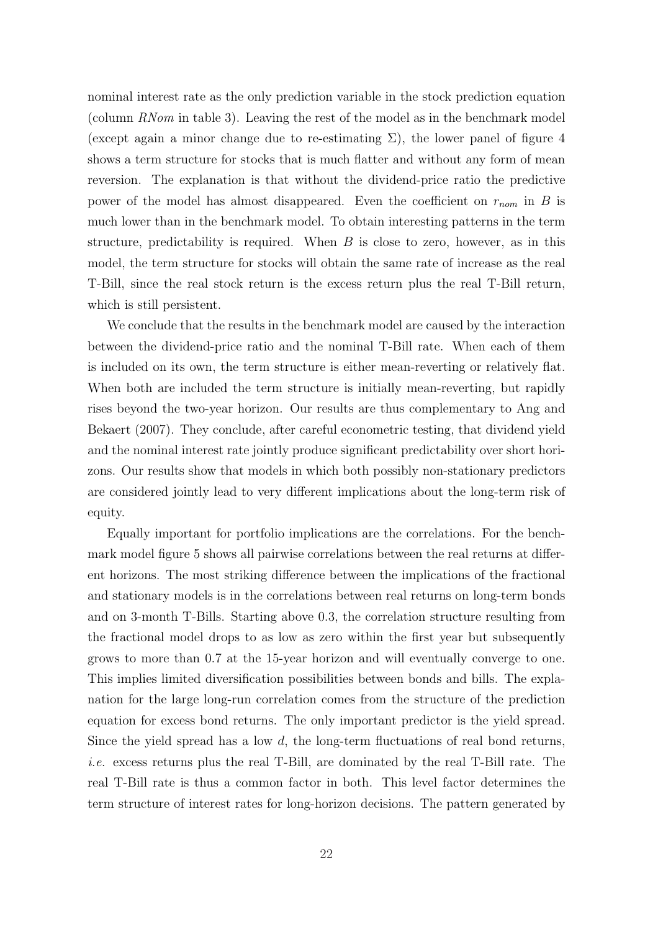nominal interest rate as the only prediction variable in the stock prediction equation (column RNom in table 3). Leaving the rest of the model as in the benchmark model (except again a minor change due to re-estimating  $\Sigma$ ), the lower panel of figure 4 shows a term structure for stocks that is much flatter and without any form of mean reversion. The explanation is that without the dividend-price ratio the predictive power of the model has almost disappeared. Even the coefficient on  $r_{nom}$  in B is much lower than in the benchmark model. To obtain interesting patterns in the term structure, predictability is required. When  $B$  is close to zero, however, as in this model, the term structure for stocks will obtain the same rate of increase as the real T-Bill, since the real stock return is the excess return plus the real T-Bill return, which is still persistent.

We conclude that the results in the benchmark model are caused by the interaction between the dividend-price ratio and the nominal T-Bill rate. When each of them is included on its own, the term structure is either mean-reverting or relatively flat. When both are included the term structure is initially mean-reverting, but rapidly rises beyond the two-year horizon. Our results are thus complementary to Ang and Bekaert (2007). They conclude, after careful econometric testing, that dividend yield and the nominal interest rate jointly produce significant predictability over short horizons. Our results show that models in which both possibly non-stationary predictors are considered jointly lead to very different implications about the long-term risk of equity.

Equally important for portfolio implications are the correlations. For the benchmark model figure 5 shows all pairwise correlations between the real returns at different horizons. The most striking difference between the implications of the fractional and stationary models is in the correlations between real returns on long-term bonds and on 3-month T-Bills. Starting above 0.3, the correlation structure resulting from the fractional model drops to as low as zero within the first year but subsequently grows to more than 0.7 at the 15-year horizon and will eventually converge to one. This implies limited diversification possibilities between bonds and bills. The explanation for the large long-run correlation comes from the structure of the prediction equation for excess bond returns. The only important predictor is the yield spread. Since the yield spread has a low  $d$ , the long-term fluctuations of real bond returns, i.e. excess returns plus the real T-Bill, are dominated by the real T-Bill rate. The real T-Bill rate is thus a common factor in both. This level factor determines the term structure of interest rates for long-horizon decisions. The pattern generated by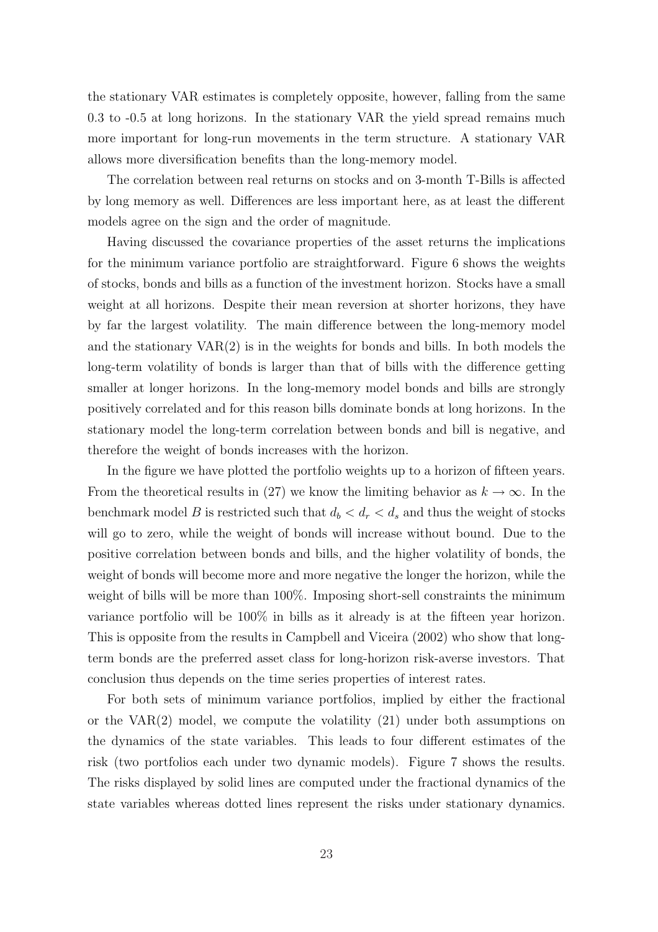the stationary VAR estimates is completely opposite, however, falling from the same 0.3 to -0.5 at long horizons. In the stationary VAR the yield spread remains much more important for long-run movements in the term structure. A stationary VAR allows more diversification benefits than the long-memory model.

The correlation between real returns on stocks and on 3-month T-Bills is affected by long memory as well. Differences are less important here, as at least the different models agree on the sign and the order of magnitude.

Having discussed the covariance properties of the asset returns the implications for the minimum variance portfolio are straightforward. Figure 6 shows the weights of stocks, bonds and bills as a function of the investment horizon. Stocks have a small weight at all horizons. Despite their mean reversion at shorter horizons, they have by far the largest volatility. The main difference between the long-memory model and the stationary  $VAR(2)$  is in the weights for bonds and bills. In both models the long-term volatility of bonds is larger than that of bills with the difference getting smaller at longer horizons. In the long-memory model bonds and bills are strongly positively correlated and for this reason bills dominate bonds at long horizons. In the stationary model the long-term correlation between bonds and bill is negative, and therefore the weight of bonds increases with the horizon.

In the figure we have plotted the portfolio weights up to a horizon of fifteen years. From the theoretical results in (27) we know the limiting behavior as  $k \to \infty$ . In the benchmark model B is restricted such that  $d_b < d_r < d_s$  and thus the weight of stocks will go to zero, while the weight of bonds will increase without bound. Due to the positive correlation between bonds and bills, and the higher volatility of bonds, the weight of bonds will become more and more negative the longer the horizon, while the weight of bills will be more than 100%. Imposing short-sell constraints the minimum variance portfolio will be 100% in bills as it already is at the fifteen year horizon. This is opposite from the results in Campbell and Viceira (2002) who show that longterm bonds are the preferred asset class for long-horizon risk-averse investors. That conclusion thus depends on the time series properties of interest rates.

For both sets of minimum variance portfolios, implied by either the fractional or the VAR $(2)$  model, we compute the volatility  $(21)$  under both assumptions on the dynamics of the state variables. This leads to four different estimates of the risk (two portfolios each under two dynamic models). Figure 7 shows the results. The risks displayed by solid lines are computed under the fractional dynamics of the state variables whereas dotted lines represent the risks under stationary dynamics.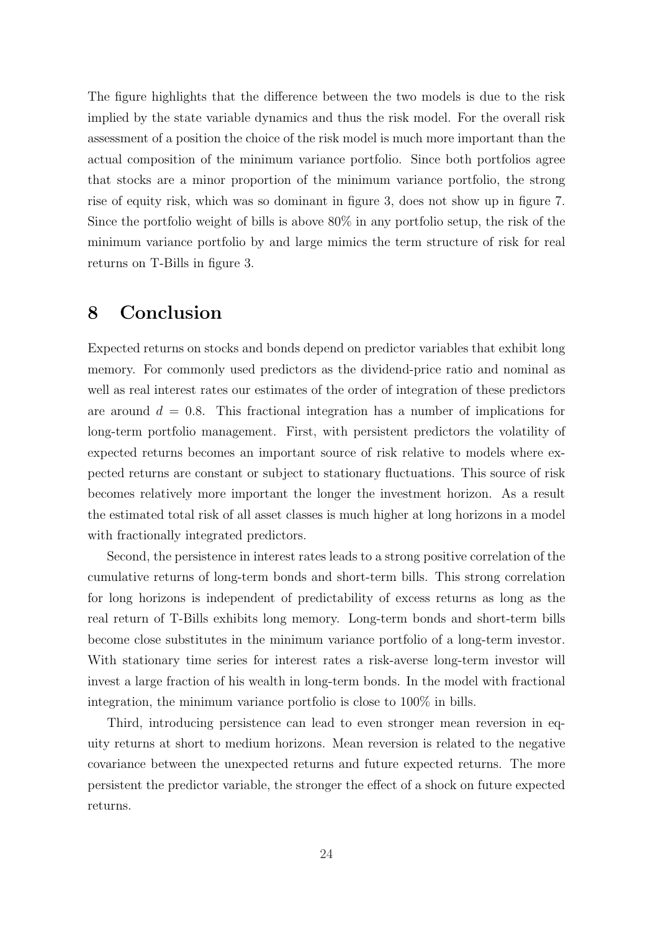The figure highlights that the difference between the two models is due to the risk implied by the state variable dynamics and thus the risk model. For the overall risk assessment of a position the choice of the risk model is much more important than the actual composition of the minimum variance portfolio. Since both portfolios agree that stocks are a minor proportion of the minimum variance portfolio, the strong rise of equity risk, which was so dominant in figure 3, does not show up in figure 7. Since the portfolio weight of bills is above 80% in any portfolio setup, the risk of the minimum variance portfolio by and large mimics the term structure of risk for real returns on T-Bills in figure 3.

### 8 Conclusion

Expected returns on stocks and bonds depend on predictor variables that exhibit long memory. For commonly used predictors as the dividend-price ratio and nominal as well as real interest rates our estimates of the order of integration of these predictors are around  $d = 0.8$ . This fractional integration has a number of implications for long-term portfolio management. First, with persistent predictors the volatility of expected returns becomes an important source of risk relative to models where expected returns are constant or subject to stationary fluctuations. This source of risk becomes relatively more important the longer the investment horizon. As a result the estimated total risk of all asset classes is much higher at long horizons in a model with fractionally integrated predictors.

Second, the persistence in interest rates leads to a strong positive correlation of the cumulative returns of long-term bonds and short-term bills. This strong correlation for long horizons is independent of predictability of excess returns as long as the real return of T-Bills exhibits long memory. Long-term bonds and short-term bills become close substitutes in the minimum variance portfolio of a long-term investor. With stationary time series for interest rates a risk-averse long-term investor will invest a large fraction of his wealth in long-term bonds. In the model with fractional integration, the minimum variance portfolio is close to 100% in bills.

Third, introducing persistence can lead to even stronger mean reversion in equity returns at short to medium horizons. Mean reversion is related to the negative covariance between the unexpected returns and future expected returns. The more persistent the predictor variable, the stronger the effect of a shock on future expected returns.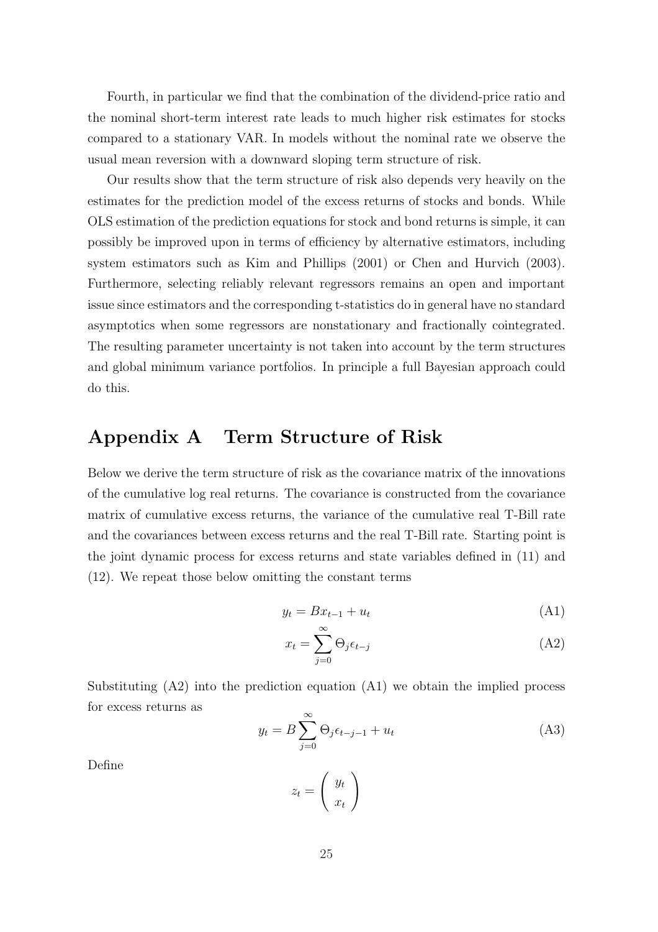Fourth, in particular we find that the combination of the dividend-price ratio and the nominal short-term interest rate leads to much higher risk estimates for stocks compared to a stationary VAR. In models without the nominal rate we observe the usual mean reversion with a downward sloping term structure of risk.

Our results show that the term structure of risk also depends very heavily on the estimates for the prediction model of the excess returns of stocks and bonds. While OLS estimation of the prediction equations for stock and bond returns is simple, it can possibly be improved upon in terms of efficiency by alternative estimators, including system estimators such as Kim and Phillips (2001) or Chen and Hurvich (2003). Furthermore, selecting reliably relevant regressors remains an open and important issue since estimators and the corresponding t-statistics do in general have no standard asymptotics when some regressors are nonstationary and fractionally cointegrated. The resulting parameter uncertainty is not taken into account by the term structures and global minimum variance portfolios. In principle a full Bayesian approach could do this.

## Appendix A Term Structure of Risk

Below we derive the term structure of risk as the covariance matrix of the innovations of the cumulative log real returns. The covariance is constructed from the covariance matrix of cumulative excess returns, the variance of the cumulative real T-Bill rate and the covariances between excess returns and the real T-Bill rate. Starting point is the joint dynamic process for excess returns and state variables defined in (11) and (12). We repeat those below omitting the constant terms

$$
y_t = Bx_{t-1} + u_t \tag{A1}
$$

$$
x_t = \sum_{j=0}^{\infty} \Theta_j \epsilon_{t-j} \tag{A2}
$$

Substituting (A2) into the prediction equation (A1) we obtain the implied process for excess returns as

$$
y_t = B \sum_{j=0}^{\infty} \Theta_j \epsilon_{t-j-1} + u_t
$$
 (A3)

Define

$$
z_t = \left(\begin{array}{c} y_t \\ x_t \end{array}\right)
$$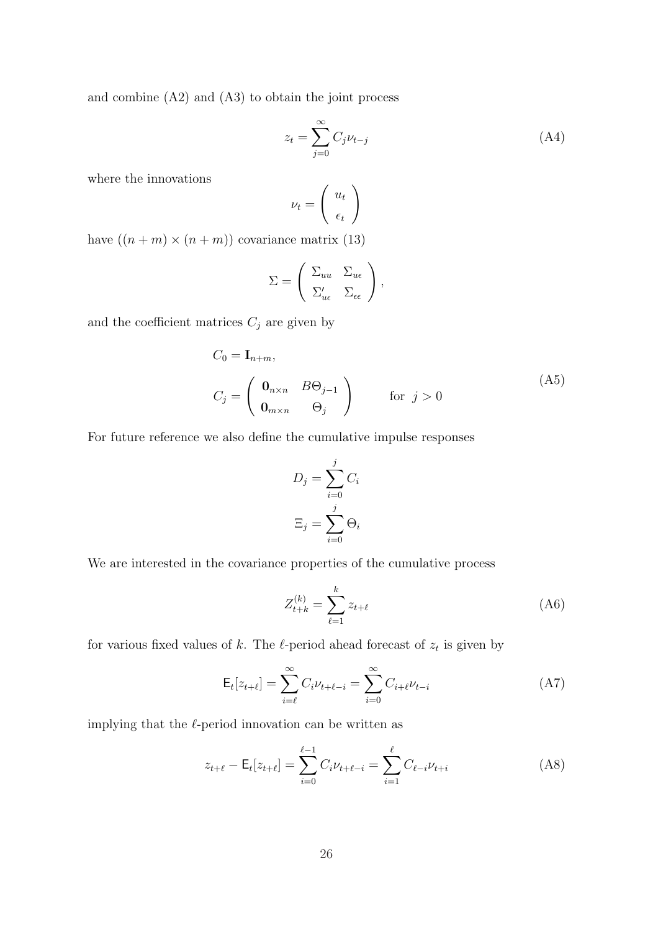and combine (A2) and (A3) to obtain the joint process

$$
z_t = \sum_{j=0}^{\infty} C_j \nu_{t-j}
$$
 (A4)

where the innovations

$$
\nu_t = \left(\begin{array}{c} u_t \\ \epsilon_t \end{array}\right)
$$

have  $((n + m) \times (n + m))$  covariance matrix (13)

$$
\Sigma = \begin{pmatrix} \Sigma_{uu} & \Sigma_{u\epsilon} \\ \Sigma'_{u\epsilon} & \Sigma_{\epsilon\epsilon} \end{pmatrix},
$$

and the coefficient matrices  ${\cal C}_j$  are given by

$$
C_0 = \mathbf{I}_{n+m},
$$
  
\n
$$
C_j = \begin{pmatrix} \mathbf{0}_{n \times n} & B\Theta_{j-1} \\ \mathbf{0}_{m \times n} & \Theta_j \end{pmatrix} \quad \text{for } j > 0
$$
\n(A5)

For future reference we also define the cumulative impulse responses

$$
D_j = \sum_{i=0}^j C_i
$$

$$
\Xi_j = \sum_{i=0}^j \Theta_i
$$

We are interested in the covariance properties of the cumulative process

$$
Z_{t+k}^{(k)} = \sum_{\ell=1}^{k} z_{t+\ell} \tag{A6}
$$

for various fixed values of k. The  $\ell$ -period ahead forecast of  $z_t$  is given by

$$
E_t[z_{t+\ell}] = \sum_{i=\ell}^{\infty} C_i \nu_{t+\ell-i} = \sum_{i=0}^{\infty} C_{i+\ell} \nu_{t-i}
$$
 (A7)

implying that the  $\ell$ -period innovation can be written as

$$
z_{t+\ell} - \mathsf{E}_t[z_{t+\ell}] = \sum_{i=0}^{\ell-1} C_i \nu_{t+\ell-i} = \sum_{i=1}^{\ell} C_{\ell-i} \nu_{t+i}
$$
 (A8)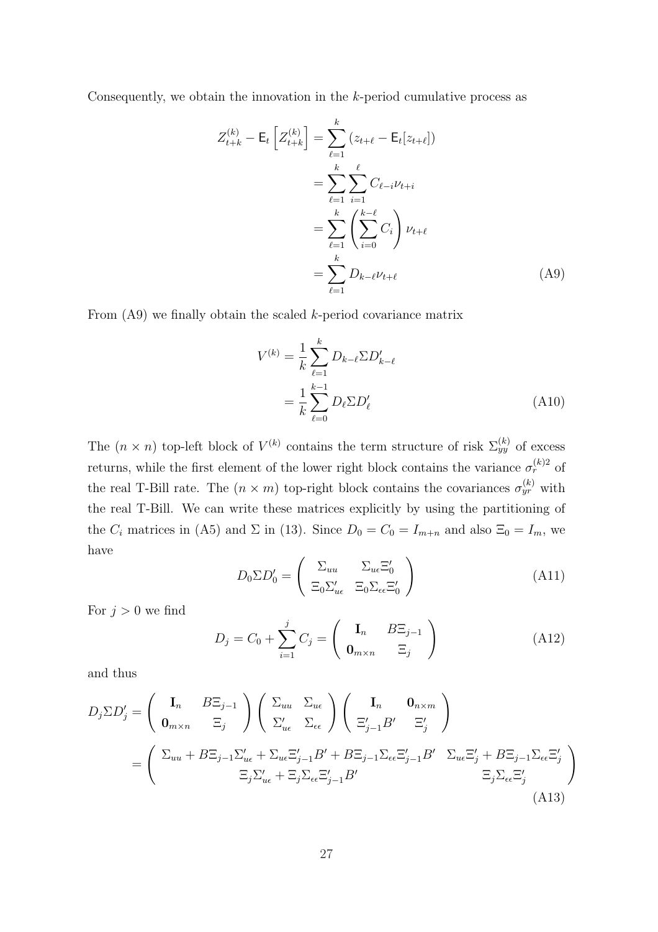Consequently, we obtain the innovation in the k-period cumulative process as

$$
Z_{t+k}^{(k)} - \mathsf{E}_t \left[ Z_{t+k}^{(k)} \right] = \sum_{\ell=1}^k (z_{t+\ell} - \mathsf{E}_t [z_{t+\ell}])
$$
  
= 
$$
\sum_{\ell=1}^k \sum_{i=1}^\ell C_{\ell-i} \nu_{t+i}
$$
  
= 
$$
\sum_{\ell=1}^k \left( \sum_{i=0}^{k-\ell} C_i \right) \nu_{t+\ell}
$$
  
= 
$$
\sum_{\ell=1}^k D_{k-\ell} \nu_{t+\ell}
$$
 (A9)

From  $(A9)$  we finally obtain the scaled k-period covariance matrix

$$
V^{(k)} = \frac{1}{k} \sum_{\ell=1}^{k} D_{k-\ell} \Sigma D'_{k-\ell}
$$
  
= 
$$
\frac{1}{k} \sum_{\ell=0}^{k-1} D_{\ell} \Sigma D'_{\ell}
$$
 (A10)

The  $(n \times n)$  top-left block of  $V^{(k)}$  contains the term structure of risk  $\Sigma_{yy}^{(k)}$  of excess returns, while the first element of the lower right block contains the variance  $\sigma_r^{(k)}$  of the real T-Bill rate. The  $(n \times m)$  top-right block contains the covariances  $\sigma_{yr}^{(k)}$  with the real T-Bill. We can write these matrices explicitly by using the partitioning of the  $C_i$  matrices in (A5) and  $\Sigma$  in (13). Since  $D_0 = C_0 = I_{m+n}$  and also  $\Xi_0 = I_m$ , we have  $\overline{a}$ !<br>}

$$
D_0 \Sigma D_0' = \begin{pmatrix} \Sigma_{uu} & \Sigma_{u \in} \Xi_0' \\ \Xi_0 \Sigma_{u \in} & \Xi_0 \Sigma_{\epsilon \in} \Xi_0' \end{pmatrix}
$$
 (A11)

For  $j > 0$  we find

$$
D_j = C_0 + \sum_{i=1}^j C_j = \begin{pmatrix} \mathbf{I}_n & B\Xi_{j-1} \\ \mathbf{0}_{m \times n} & \Xi_j \end{pmatrix}
$$
 (A12)

and thus

$$
D_j \Sigma D'_j = \begin{pmatrix} \mathbf{I}_n & B \Xi_{j-1} \\ \mathbf{0}_{m \times n} & \Xi_j \end{pmatrix} \begin{pmatrix} \Sigma_{uu} & \Sigma_{ue} \\ \Sigma'_{ue} & \Sigma_{ee} \end{pmatrix} \begin{pmatrix} \mathbf{I}_n & \mathbf{0}_{n \times m} \\ \Xi'_{j-1} B' & \Xi'_j \end{pmatrix}
$$
  
= 
$$
\begin{pmatrix} \Sigma_{uu} + B \Xi_{j-1} \Sigma'_{ue} + \Sigma_{ue} \Xi'_{j-1} B' + B \Xi_{j-1} \Sigma_{ee} \Xi'_{j-1} B' & \Sigma_{ue} \Xi'_j + B \Xi_{j-1} \Sigma_{ee} \Xi'_j \\ \Xi_j \Sigma'_{ue} + \Xi_j \Sigma_{ee} \Xi'_{j-1} B' & \Xi_j \Sigma_{ee} \Xi'_j \end{pmatrix}
$$
(A13)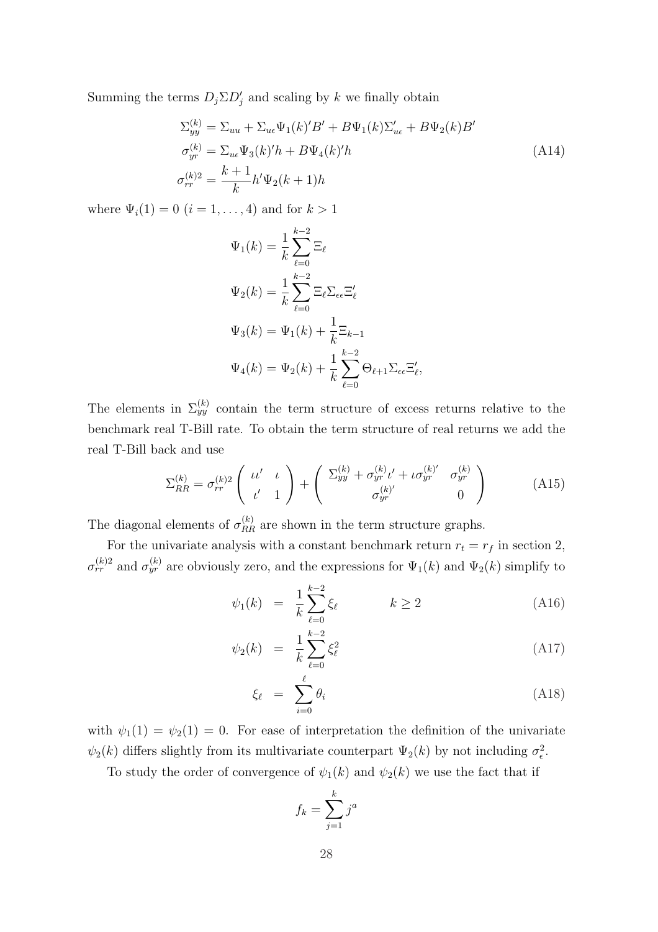Summing the terms  $D_j \Sigma D'_j$  and scaling by k we finally obtain

$$
\Sigma_{yy}^{(k)} = \Sigma_{uu} + \Sigma_{ue} \Psi_1(k)'B' + B\Psi_1(k)\Sigma_{ue}' + B\Psi_2(k)B'
$$
  
\n
$$
\sigma_{yr}^{(k)} = \Sigma_{ue} \Psi_3(k)'h + B\Psi_4(k)'h
$$
  
\n
$$
\sigma_{rr}^{(k)2} = \frac{k+1}{k}h'\Psi_2(k+1)h
$$
\n(A14)

where  $\Psi_i(1) = 0$   $(i = 1, ..., 4)$  and for  $k > 1$ 

$$
\Psi_1(k) = \frac{1}{k} \sum_{\ell=0}^{k-2} \Xi_{\ell}
$$
  

$$
\Psi_2(k) = \frac{1}{k} \sum_{\ell=0}^{k-2} \Xi_{\ell} \Sigma_{\epsilon \epsilon} \Xi'_{\ell}
$$
  

$$
\Psi_3(k) = \Psi_1(k) + \frac{1}{k} \Xi_{k-1}
$$
  

$$
\Psi_4(k) = \Psi_2(k) + \frac{1}{k} \sum_{\ell=0}^{k-2} \Theta_{\ell+1} \Sigma_{\epsilon \epsilon} \Xi'_{\ell},
$$

The elements in  $\Sigma_{yy}^{(k)}$  contain the term structure of excess returns relative to the benchmark real T-Bill rate. To obtain the term structure of real returns we add the real T-Bill back and use

$$
\Sigma_{RR}^{(k)} = \sigma_{rr}^{(k)2} \begin{pmatrix} \iota \iota' & \iota \\ \iota' & 1 \end{pmatrix} + \begin{pmatrix} \Sigma_{yy}^{(k)} + \sigma_{yr}^{(k)} \iota' + \iota \sigma_{yr}^{(k)'} & \sigma_{yr}^{(k)} \\ \sigma_{yr}^{(k)'} & 0 \end{pmatrix}
$$
(A15)

The diagonal elements of  $\sigma_{RR}^{(k)}$  are shown in the term structure graphs.

For the univariate analysis with a constant benchmark return  $r_t = r_f$  in section 2,  $\sigma_{rr}^{(k)2}$  and  $\sigma_{yr}^{(k)}$  are obviously zero, and the expressions for  $\Psi_1(k)$  and  $\Psi_2(k)$  simplify to

$$
\psi_1(k) = \frac{1}{k} \sum_{\ell=0}^{k-2} \xi_\ell \qquad k \ge 2 \tag{A16}
$$

$$
\psi_2(k) = \frac{1}{k} \sum_{\ell=0}^{k-2} \xi_\ell^2 \tag{A17}
$$

$$
\xi_{\ell} = \sum_{i=0}^{\ell} \theta_i \tag{A18}
$$

with  $\psi_1(1) = \psi_2(1) = 0$ . For ease of interpretation the definition of the univariate  $\psi_2(k)$  differs slightly from its multivariate counterpart  $\Psi_2(k)$  by not including  $\sigma_{\epsilon}^2$ .

To study the order of convergence of  $\psi_1(k)$  and  $\psi_2(k)$  we use the fact that if

$$
f_k = \sum_{j=1}^k j^a
$$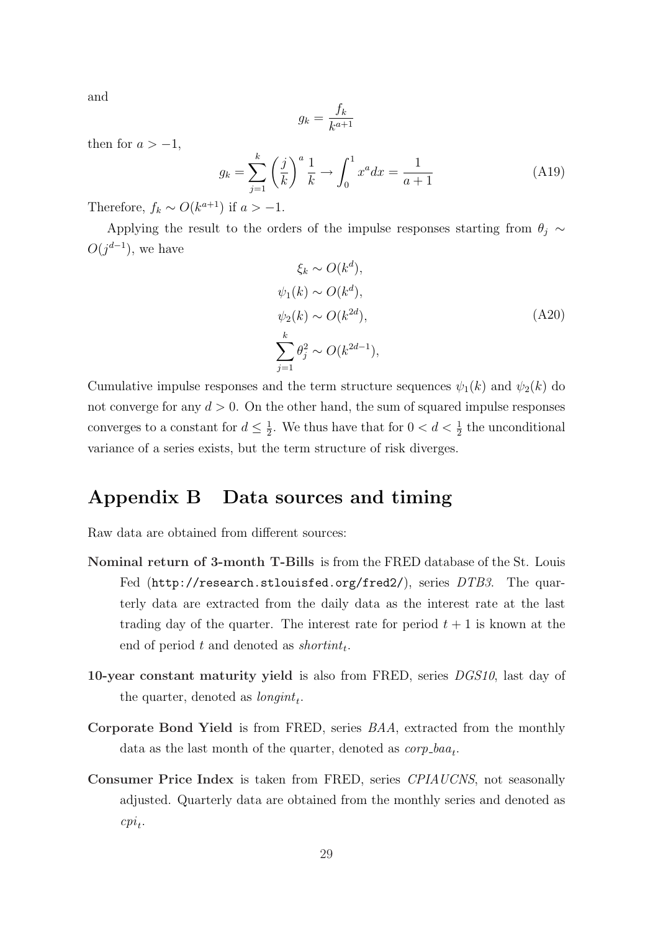and

$$
g_k = \frac{f_k}{k^{a+1}}
$$

then for  $a > -1$ ,

$$
g_k = \sum_{j=1}^k \left(\frac{j}{k}\right)^a \frac{1}{k} \to \int_0^1 x^a dx = \frac{1}{a+1}
$$
 (A19)

Therefore,  $f_k \sim O(k^{a+1})$  if  $a > -1$ .

Applying the result to the orders of the impulse responses starting from  $\theta_j \, \sim \,$  $O(j^{d-1})$ , we have

$$
\xi_k \sim O(k^d),
$$
  
\n
$$
\psi_1(k) \sim O(k^d),
$$
  
\n
$$
\psi_2(k) \sim O(k^{2d}),
$$
  
\n
$$
\sum_{j=1}^k \theta_j^2 \sim O(k^{2d-1}),
$$
\n(A20)

Cumulative impulse responses and the term structure sequences  $\psi_1(k)$  and  $\psi_2(k)$  do not converge for any  $d > 0$ . On the other hand, the sum of squared impulse responses converges to a constant for  $d \leq \frac{1}{2}$ . We thus have that for  $0 < d < \frac{1}{2}$  the unconditional variance of a series exists, but the term structure of risk diverges.

## Appendix B Data sources and timing

Raw data are obtained from different sources:

- Nominal return of 3-month T-Bills is from the FRED database of the St. Louis Fed (http://research.stlouisfed.org/fred2/), series DTB3. The quarterly data are extracted from the daily data as the interest rate at the last trading day of the quarter. The interest rate for period  $t + 1$  is known at the end of period  $t$  and denoted as shortint<sub>t</sub>.
- 10-year constant maturity yield is also from FRED, series DGS10, last day of the quarter, denoted as  $\text{longint}_t$ .
- Corporate Bond Yield is from FRED, series BAA, extracted from the monthly data as the last month of the quarter, denoted as  $\mathit{corp\_baa_t}$ .
- Consumer Price Index is taken from FRED, series CPIAUCNS, not seasonally adjusted. Quarterly data are obtained from the monthly series and denoted as  $cpi_t$ .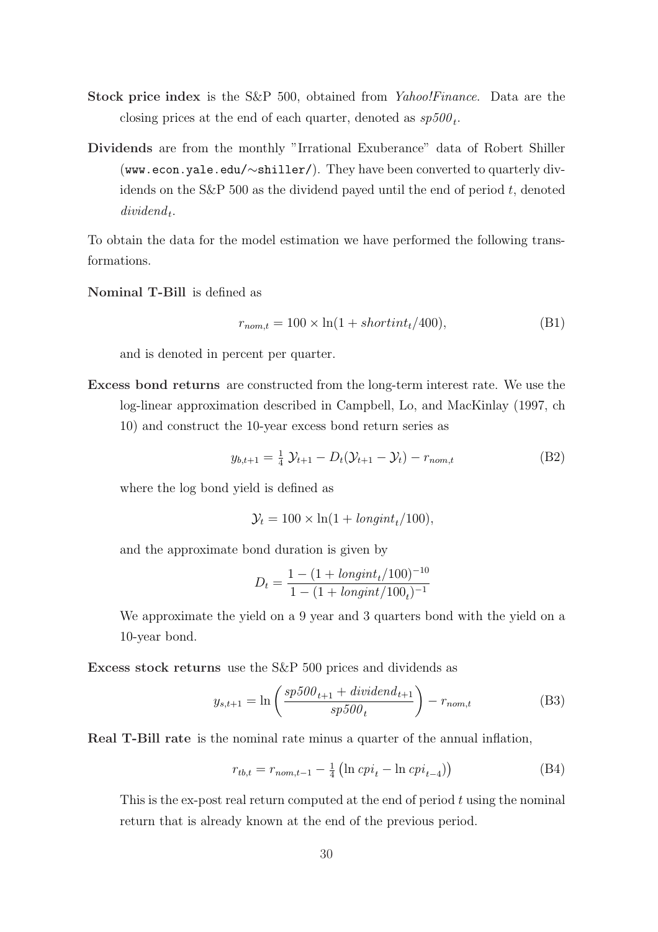- Stock price index is the S&P 500, obtained from *Yahoo!Finance*. Data are the closing prices at the end of each quarter, denoted as  $sp500_t$ .
- Dividends are from the monthly "Irrational Exuberance" data of Robert Shiller (www.econ.yale.edu/∼shiller/). They have been converted to quarterly dividends on the S&P 500 as the dividend payed until the end of period  $t$ , denoted  $dividend_t$ .

To obtain the data for the model estimation we have performed the following transformations.

Nominal T-Bill is defined as

$$
r_{nom,t} = 100 \times \ln(1 + shortint_t/400), \tag{B1}
$$

and is denoted in percent per quarter.

Excess bond returns are constructed from the long-term interest rate. We use the log-linear approximation described in Campbell, Lo, and MacKinlay (1997, ch 10) and construct the 10-year excess bond return series as

$$
y_{b,t+1} = \frac{1}{4} \mathcal{Y}_{t+1} - D_t(\mathcal{Y}_{t+1} - \mathcal{Y}_t) - r_{nom,t}
$$
 (B2)

where the log bond yield is defined as

$$
\mathcal{Y}_t = 100 \times \ln(1 + \text{longint}_t/100),
$$

and the approximate bond duration is given by

$$
D_t = \frac{1 - (1 + \text{longint}_t/100)^{-10}}{1 - (1 + \text{longint}/100_t)^{-1}}
$$

We approximate the yield on a 9 year and 3 quarters bond with the yield on a 10-year bond.

Excess stock returns use the S&P 500 prices and dividends as

$$
y_{s,t+1} = \ln\left(\frac{sp500_{t+1} + dividend_{t+1}}{sp500_{t}}\right) - r_{nom,t}
$$
 (B3)

Real T-Bill rate is the nominal rate minus a quarter of the annual inflation,

$$
r_{tb,t} = r_{nom,t-1} - \frac{1}{4} \left( \ln cpi_t - \ln cpi_{t-4} \right) \tag{B4}
$$

This is the ex-post real return computed at the end of period  $t$  using the nominal return that is already known at the end of the previous period.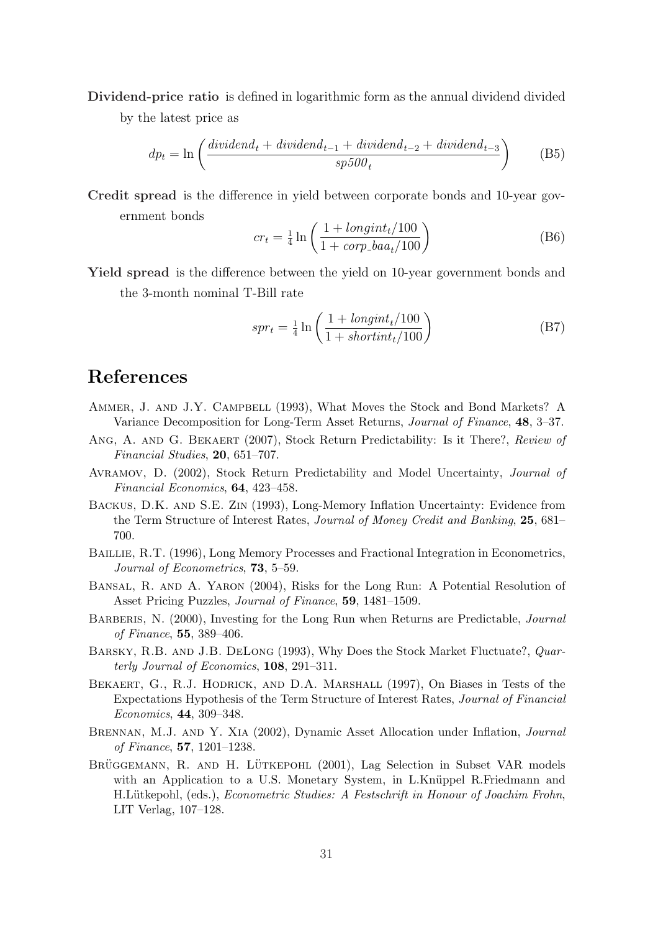Dividend-price ratio is defined in logarithmic form as the annual dividend divided by the latest price as

$$
dp_t = \ln\left(\frac{dividend_t + dividend_{t-1} + dividend_{t-2} + dividend_{t-3}}{sp500_t}\right)
$$
 (B5)

Credit spread is the difference in yield between corporate bonds and 10-year government bonds

$$
cr_t = \frac{1}{4} \ln \left( \frac{1 + \text{longint}_t / 100}{1 + \text{corp}\text{-}baa_t / 100} \right) \tag{B6}
$$

Yield spread is the difference between the yield on 10-year government bonds and the 3-month nominal T-Bill rate

$$
spr_t = \frac{1}{4} \ln \left( \frac{1 + \text{longint}_t / 100}{1 + \text{shortint}_t / 100} \right) \tag{B7}
$$

# References

- Ammer, J. and J.Y. Campbell (1993), What Moves the Stock and Bond Markets? A Variance Decomposition for Long-Term Asset Returns, Journal of Finance, 48, 3–37.
- ANG, A. AND G. BEKAERT (2007), Stock Return Predictability: Is it There?, Review of Financial Studies, 20, 651–707.
- AVRAMOV, D. (2002), Stock Return Predictability and Model Uncertainty, *Journal of* Financial Economics, 64, 423–458.
- Backus, D.K. and S.E. Zin (1993), Long-Memory Inflation Uncertainty: Evidence from the Term Structure of Interest Rates, Journal of Money Credit and Banking, 25, 681– 700.
- Baillie, R.T. (1996), Long Memory Processes and Fractional Integration in Econometrics, Journal of Econometrics, 73, 5–59.
- Bansal, R. and A. Yaron (2004), Risks for the Long Run: A Potential Resolution of Asset Pricing Puzzles, Journal of Finance, 59, 1481–1509.
- BARBERIS, N. (2000), Investing for the Long Run when Returns are Predictable, *Journal* of Finance, 55, 389–406.
- BARSKY, R.B. AND J.B. DELONG (1993), Why Does the Stock Market Fluctuate?, *Quar*terly Journal of Economics, 108, 291–311.
- Bekaert, G., R.J. Hodrick, and D.A. Marshall (1997), On Biases in Tests of the Expectations Hypothesis of the Term Structure of Interest Rates, Journal of Financial Economics, 44, 309–348.
- Brennan, M.J. and Y. Xia (2002), Dynamic Asset Allocation under Inflation, Journal of Finance, 57, 1201–1238.
- BRÜGGEMANN, R. AND H. LÜTKEPOHL (2001), Lag Selection in Subset VAR models with an Application to a U.S. Monetary System, in L.Knüppel R.Friedmann and H.Lütkepohl, (eds.), *Econometric Studies: A Festschrift in Honour of Joachim Frohn*, LIT Verlag, 107–128.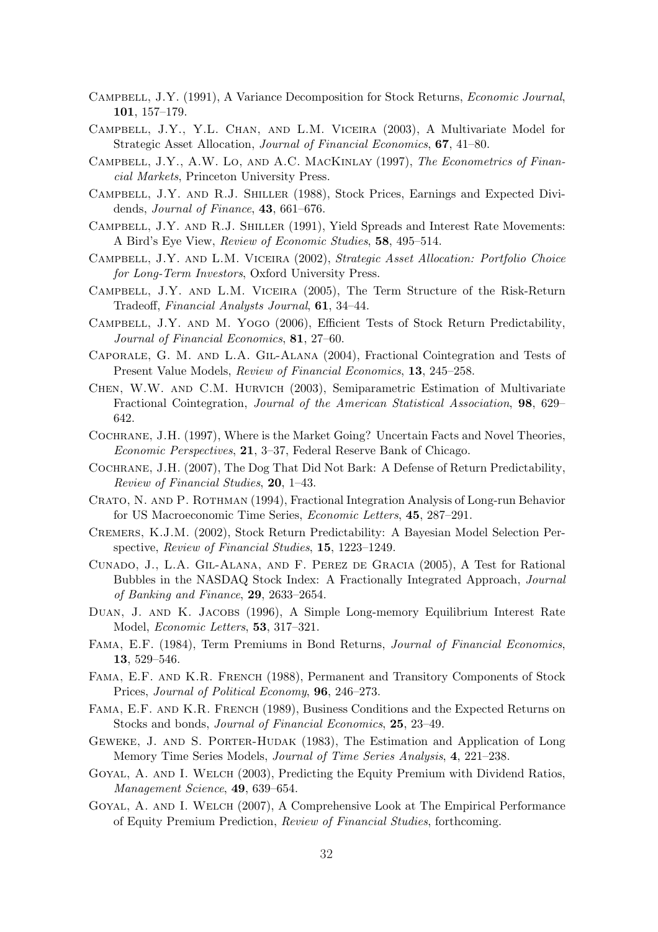- Campbell, J.Y. (1991), A Variance Decomposition for Stock Returns, Economic Journal, 101, 157–179.
- Campbell, J.Y., Y.L. Chan, and L.M. Viceira (2003), A Multivariate Model for Strategic Asset Allocation, Journal of Financial Economics, 67, 41–80.
- CAMPBELL, J.Y., A.W. LO, AND A.C. MACKINLAY (1997), The Econometrics of Financial Markets, Princeton University Press.
- Campbell, J.Y. and R.J. Shiller (1988), Stock Prices, Earnings and Expected Dividends, Journal of Finance, 43, 661–676.
- Campbell, J.Y. and R.J. Shiller (1991), Yield Spreads and Interest Rate Movements: A Bird's Eye View, Review of Economic Studies, 58, 495–514.
- Campbell, J.Y. and L.M. Viceira (2002), Strategic Asset Allocation: Portfolio Choice for Long-Term Investors, Oxford University Press.
- Campbell, J.Y. and L.M. Viceira (2005), The Term Structure of the Risk-Return Tradeoff, Financial Analysts Journal, 61, 34–44.
- Campbell, J.Y. and M. Yogo (2006), Efficient Tests of Stock Return Predictability, Journal of Financial Economics, 81, 27–60.
- Caporale, G. M. and L.A. Gil-Alana (2004), Fractional Cointegration and Tests of Present Value Models, Review of Financial Economics, 13, 245–258.
- Chen, W.W. and C.M. Hurvich (2003), Semiparametric Estimation of Multivariate Fractional Cointegration, Journal of the American Statistical Association, 98, 629– 642.
- Cochrane, J.H. (1997), Where is the Market Going? Uncertain Facts and Novel Theories, Economic Perspectives, 21, 3–37, Federal Reserve Bank of Chicago.
- Cochrane, J.H. (2007), The Dog That Did Not Bark: A Defense of Return Predictability, Review of Financial Studies, 20, 1–43.
- Crato, N. and P. Rothman (1994), Fractional Integration Analysis of Long-run Behavior for US Macroeconomic Time Series, Economic Letters, 45, 287–291.
- Cremers, K.J.M. (2002), Stock Return Predictability: A Bayesian Model Selection Perspective, Review of Financial Studies, 15, 1223–1249.
- Cunado, J., L.A. Gil-Alana, and F. Perez de Gracia (2005), A Test for Rational Bubbles in the NASDAQ Stock Index: A Fractionally Integrated Approach, Journal of Banking and Finance, 29, 2633–2654.
- Duan, J. and K. Jacobs (1996), A Simple Long-memory Equilibrium Interest Rate Model, Economic Letters, 53, 317–321.
- Fama, E.F. (1984), Term Premiums in Bond Returns, Journal of Financial Economics, 13, 529–546.
- Fama, E.F. and K.R. French (1988), Permanent and Transitory Components of Stock Prices, Journal of Political Economy, 96, 246–273.
- Fama, E.F. and K.R. French (1989), Business Conditions and the Expected Returns on Stocks and bonds, Journal of Financial Economics, 25, 23–49.
- Geweke, J. and S. Porter-Hudak (1983), The Estimation and Application of Long Memory Time Series Models, Journal of Time Series Analysis, 4, 221–238.
- Goyal, A. and I. Welch (2003), Predicting the Equity Premium with Dividend Ratios, Management Science, 49, 639–654.
- Goyal, A. and I. Welch (2007), A Comprehensive Look at The Empirical Performance of Equity Premium Prediction, Review of Financial Studies, forthcoming.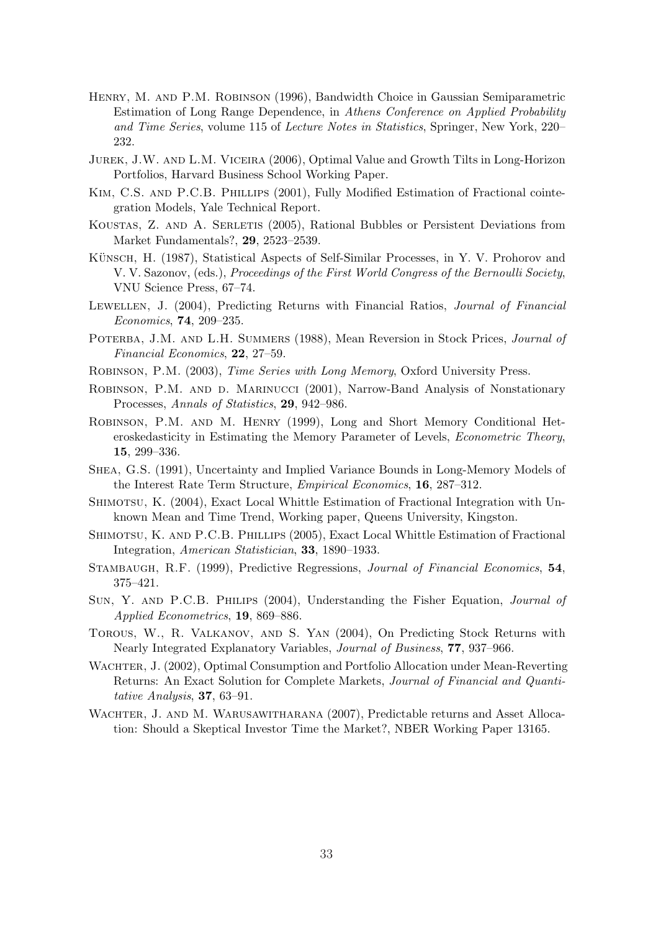- Henry, M. and P.M. Robinson (1996), Bandwidth Choice in Gaussian Semiparametric Estimation of Long Range Dependence, in Athens Conference on Applied Probability and Time Series, volume 115 of Lecture Notes in Statistics, Springer, New York, 220– 232.
- Jurek, J.W. and L.M. Viceira (2006), Optimal Value and Growth Tilts in Long-Horizon Portfolios, Harvard Business School Working Paper.
- Kim, C.S. and P.C.B. Phillips (2001), Fully Modified Estimation of Fractional cointegration Models, Yale Technical Report.
- Koustas, Z. and A. Serletis (2005), Rational Bubbles or Persistent Deviations from Market Fundamentals?, 29, 2523–2539.
- KÜNSCH, H. (1987), Statistical Aspects of Self-Similar Processes, in Y. V. Prohorov and V. V. Sazonov, (eds.), Proceedings of the First World Congress of the Bernoulli Society, VNU Science Press, 67–74.
- LEWELLEN, J. (2004), Predicting Returns with Financial Ratios, *Journal of Financial* Economics, 74, 209–235.
- POTERBA, J.M. AND L.H. SUMMERS (1988), Mean Reversion in Stock Prices, *Journal of* Financial Economics, 22, 27–59.
- Robinson, P.M. (2003), Time Series with Long Memory, Oxford University Press.
- ROBINSON, P.M. AND D. MARINUCCI (2001), Narrow-Band Analysis of Nonstationary Processes, Annals of Statistics, 29, 942–986.
- Robinson, P.M. and M. Henry (1999), Long and Short Memory Conditional Heteroskedasticity in Estimating the Memory Parameter of Levels, Econometric Theory, 15, 299–336.
- Shea, G.S. (1991), Uncertainty and Implied Variance Bounds in Long-Memory Models of the Interest Rate Term Structure, Empirical Economics, 16, 287–312.
- SHIMOTSU, K. (2004), Exact Local Whittle Estimation of Fractional Integration with Unknown Mean and Time Trend, Working paper, Queens University, Kingston.
- Shimotsu, K. and P.C.B. Phillips (2005), Exact Local Whittle Estimation of Fractional Integration, American Statistician, 33, 1890–1933.
- Stambaugh, R.F. (1999), Predictive Regressions, Journal of Financial Economics, 54, 375–421.
- Sun, Y. and P.C.B. Philips (2004), Understanding the Fisher Equation, Journal of Applied Econometrics, 19, 869–886.
- Torous, W., R. Valkanov, and S. Yan (2004), On Predicting Stock Returns with Nearly Integrated Explanatory Variables, Journal of Business, 77, 937–966.
- WACHTER, J. (2002), Optimal Consumption and Portfolio Allocation under Mean-Reverting Returns: An Exact Solution for Complete Markets, Journal of Financial and Quantitative Analysis, 37, 63–91.
- WACHTER, J. AND M. WARUSAWITHARANA (2007), Predictable returns and Asset Allocation: Should a Skeptical Investor Time the Market?, NBER Working Paper 13165.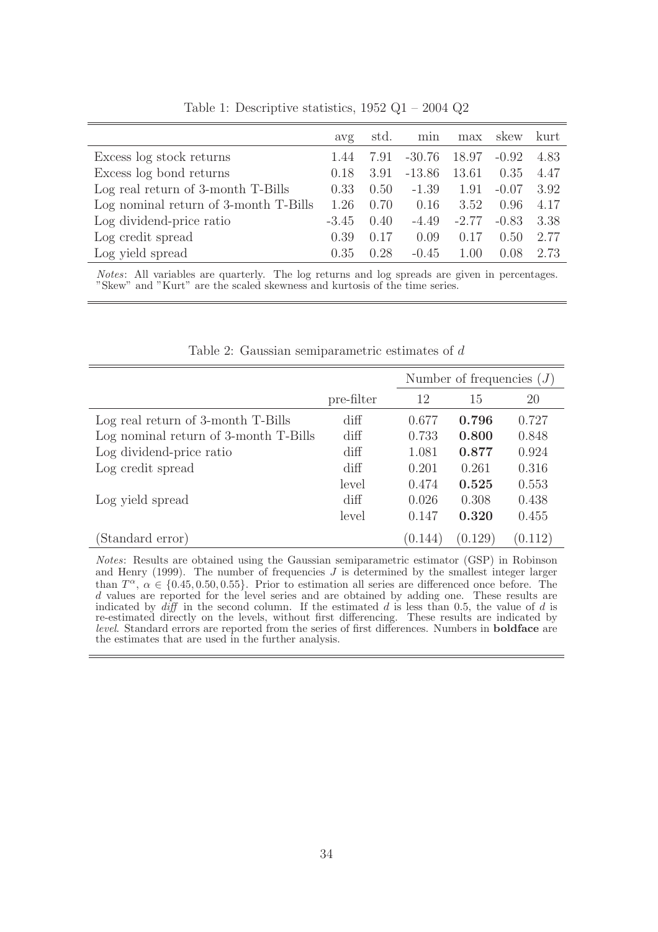|                                       | avg     | std. | min      | max     | skew    | kurt |
|---------------------------------------|---------|------|----------|---------|---------|------|
| Excess log stock returns              | 1.44    | 7.91 | $-30.76$ | 18.97   | $-0.92$ | 4.83 |
| Excess log bond returns               | 0.18    | 3.91 | $-13.86$ | 13.61   | 0.35    | 4.47 |
| Log real return of 3-month T-Bills    | 0.33    | 0.50 | $-1.39$  | 1.91    | $-0.07$ | 3.92 |
| Log nominal return of 3-month T-Bills | 1.26    | 0.70 | 0.16     | 3.52    | 0.96    | 4.17 |
| Log dividend-price ratio              | $-3.45$ | 0.40 | $-4.49$  | $-2.77$ | $-0.83$ | 3.38 |
| Log credit spread                     | 0.39    | 0.17 | 0.09     | 0.17    | 0.50    | 2.77 |
| Log yield spread                      | 0.35    | 0.28 | $-0.45$  | 1.00    | 0.08    | 2.73 |

Table 1: Descriptive statistics, 1952 Q1 – 2004 Q2

Notes: All variables are quarterly. The log returns and log spreads are given in percentages. "Skew" and "Kurt" are the scaled skewness and kurtosis of the time series.

|                                       |                 | Number of frequencies $(J)$ |         |         |  |
|---------------------------------------|-----------------|-----------------------------|---------|---------|--|
|                                       | pre-filter      | 12                          | 15      | 20      |  |
| Log real return of 3-month T-Bills    | $\mathrm{diff}$ | 0.677                       | 0.796   | 0.727   |  |
| Log nominal return of 3-month T-Bills | $\mathrm{diff}$ | 0.733                       | 0.800   | 0.848   |  |
| Log dividend-price ratio              | $\mathrm{diff}$ | 1.081                       | 0.877   | 0.924   |  |
| Log credit spread                     | $\mathrm{diff}$ | 0.201                       | 0.261   | 0.316   |  |
|                                       | level           | 0.474                       | 0.525   | 0.553   |  |
| Log yield spread                      | $\mathrm{diff}$ | 0.026                       | 0.308   | 0.438   |  |
|                                       | level           | 0.147                       | 0.320   | 0.455   |  |
| (Standard error)                      |                 | (0.144)                     | (0.129) | (0.112) |  |

Table 2: Gaussian semiparametric estimates of d

Notes: Results are obtained using the Gaussian semiparametric estimator (GSP) in Robinson and Henry (1999). The number of frequencies  $J$  is determined by the smallest integer larger than  $T^{\alpha}$ ,  $\alpha \in \{0.45, 0.50, 0.55\}$ . Prior to estimation all series are differenced once before. The d values are reported for the level series and are obtained by adding one. These results are indicated by  $\text{diff}$  in the second column. If the estimated d is less than 0.5, the value of d is re-estimated directly on the levels, without first differencing. These results are indicated by level. Standard errors are reported from the series of first differences. Numbers in boldface are the estimates that are used in the further analysis.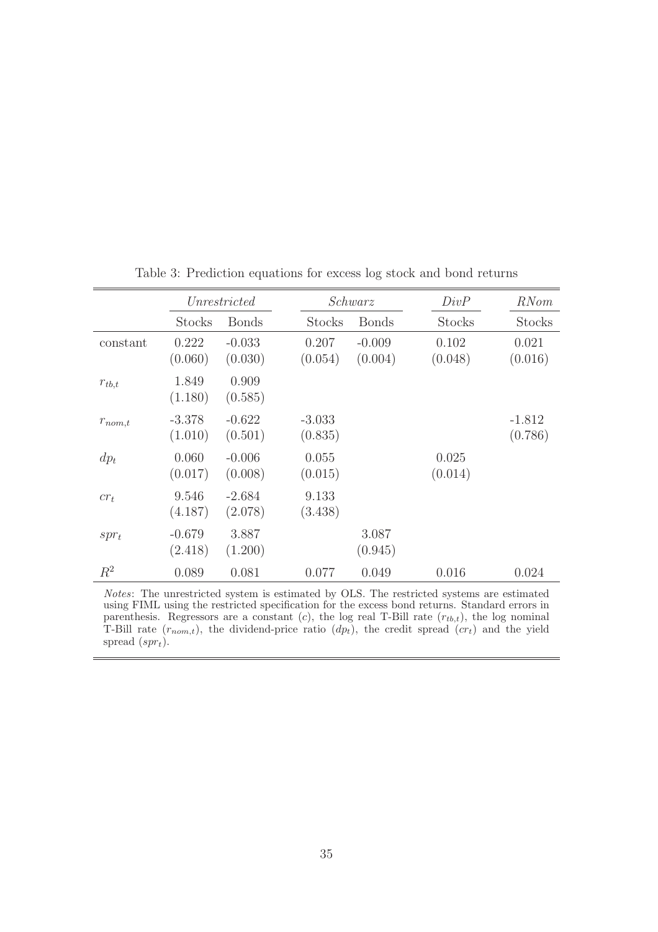|             | Unrestricted        |                     |                     | Schwarz             | DivP             | <i>RNom</i>         |
|-------------|---------------------|---------------------|---------------------|---------------------|------------------|---------------------|
|             | <b>Stocks</b>       | <b>Bonds</b>        | <b>Stocks</b>       | <b>Bonds</b>        | <b>Stocks</b>    | Stocks              |
| constant    | 0.222<br>(0.060)    | $-0.033$<br>(0.030) | 0.207<br>(0.054)    | $-0.009$<br>(0.004) | 0.102<br>(0.048) | 0.021<br>(0.016)    |
| $r_{tb,t}$  | 1.849<br>(1.180)    | 0.909<br>(0.585)    |                     |                     |                  |                     |
| $r_{nom,t}$ | $-3.378$<br>(1.010) | $-0.622$<br>(0.501) | $-3.033$<br>(0.835) |                     |                  | $-1.812$<br>(0.786) |
| $dp_t$      | 0.060<br>(0.017)    | $-0.006$<br>(0.008) | 0.055<br>(0.015)    |                     | 0.025<br>(0.014) |                     |
| $cr_t$      | 9.546<br>(4.187)    | $-2.684$<br>(2.078) | 9.133<br>(3.438)    |                     |                  |                     |
| $spr_t$     | $-0.679$<br>(2.418) | 3.887<br>(1.200)    |                     | 3.087<br>(0.945)    |                  |                     |
| $R^2$       | 0.089               | 0.081               | 0.077               | 0.049               | 0.016            | 0.024               |

Table 3: Prediction equations for excess log stock and bond returns

Notes: The unrestricted system is estimated by OLS. The restricted systems are estimated using FIML using the restricted specification for the excess bond returns. Standard errors in parenthesis. Regressors are a constant (c), the log real T-Bill rate  $(r_{tb,t})$ , the log nominal T-Bill rate  $(r_{nom,t})$ , the dividend-price ratio  $(dp_t)$ , the credit spread  $(cr_t)$  and the yield spread  $(spr_t)$ .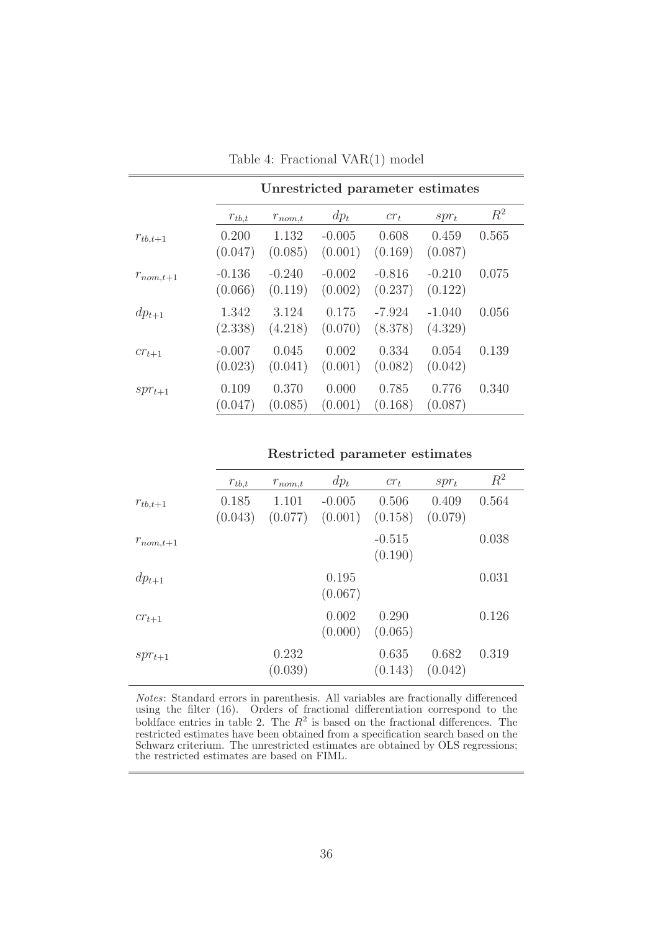|               | Unrestricted parameter estimates |                     |                     |                     |                     |       |  |  |
|---------------|----------------------------------|---------------------|---------------------|---------------------|---------------------|-------|--|--|
|               | $r_{tb,t}$                       | $r_{nom,t}$         | $dp_t$              | $cr_t$              | $spr_t$             | $R^2$ |  |  |
| $r_{tb,t+1}$  | 0.200<br>(0.047)                 | 1.132<br>(0.085)    | $-0.005$<br>(0.001) | 0.608<br>(0.169)    | 0.459<br>(0.087)    | 0.565 |  |  |
| $r_{nom,t+1}$ | $-0.136$<br>(0.066)              | $-0.240$<br>(0.119) | $-0.002$<br>(0.002) | $-0.816$<br>(0.237) | $-0.210$<br>(0.122) | 0.075 |  |  |
| $dp_{t+1}$    | 1.342<br>(2.338)                 | 3.124<br>(4.218)    | 0.175<br>(0.070)    | $-7.924$<br>(8.378) | $-1.040$<br>(4.329) | 0.056 |  |  |
| $cr_{t+1}$    | $-0.007$<br>(0.023)              | 0.045<br>(0.041)    | 0.002<br>(0.001)    | 0.334<br>(0.082)    | 0.054<br>(0.042)    | 0.139 |  |  |
| $spr_{t+1}$   | 0.109<br>(0.047)                 | 0.370<br>(0.085)    | 0.000<br>(0.001)    | 0.785<br>(0.168)    | 0.776<br>(0.087)    | 0.340 |  |  |

Table 4: Fractional VAR(1) model

#### Restricted parameter estimates

|               | $r_{tb,t}$       | $r_{nom,t}$      | $dp_t$              | $cr_t$              | $spr_t$          | $R^2$ |
|---------------|------------------|------------------|---------------------|---------------------|------------------|-------|
| $r_{tb,t+1}$  | 0.185<br>(0.043) | 1.101<br>(0.077) | $-0.005$<br>(0.001) | 0.506<br>(0.158)    | 0.409<br>(0.079) | 0.564 |
| $r_{nom,t+1}$ |                  |                  |                     | $-0.515$<br>(0.190) |                  | 0.038 |
| $dp_{t+1}$    |                  |                  | 0.195<br>(0.067)    |                     |                  | 0.031 |
| $cr_{t+1}$    |                  |                  | 0.002<br>(0.000)    | 0.290<br>(0.065)    |                  | 0.126 |
| $spr_{t+1}$   |                  | 0.232<br>(0.039) |                     | 0.635<br>(0.143)    | 0.682<br>(0.042) | 0.319 |

Notes: Standard errors in parenthesis. All variables are fractionally differenced using the filter (16). Orders of fractional differentiation correspond to the boldface entries in table 2. The  $R^2$  is based on the fractional differences. The restricted estimates have been obtained from a specification search based on the Schwarz criterium. The unrestricted estimates are obtained by OLS regressions; the restricted estimates are based on FIML.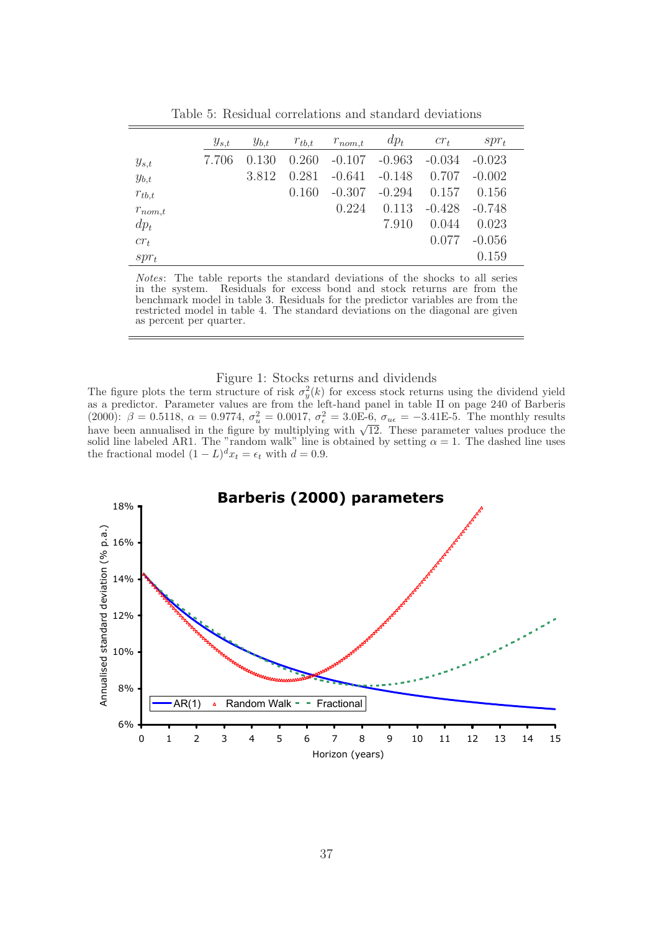|             | $y_{s,t}$ | $y_{b,t}$ | $r_{tb,t}$ | $r_{nom,t}$ | $dp_t$   | $cr_t$   | $spr_t$  |  |
|-------------|-----------|-----------|------------|-------------|----------|----------|----------|--|
| $y_{s,t}$   | 7.706     | 0.130     | 0.260      | $-0.107$    | $-0.963$ | $-0.034$ | $-0.023$ |  |
| $y_{b,t}$   |           | 3.812     | 0.281      | $-0.641$    | $-0.148$ | 0.707    | $-0.002$ |  |
| $r_{tb,t}$  |           |           | 0.160      | $-0.307$    | $-0.294$ | 0.157    | 0.156    |  |
| $r_{nom,t}$ |           |           |            | 0.224       | 0.113    | $-0.428$ | $-0.748$ |  |
| $dp_t$      |           |           |            |             | 7.910    | 0.044    | 0.023    |  |
| $cr_t$      |           |           |            |             |          | 0.077    | $-0.056$ |  |
| $spr_t$     |           |           |            |             |          |          | 0.159    |  |

Table 5: Residual correlations and standard deviations

 $\equiv$ 

Notes: The table reports the standard deviations of the shocks to all series in the system. Residuals for excess bond and stock returns are from the benchmark model in table 3. Residuals for the predictor variables are from the restricted model in table 4. The standard deviations on the diagonal are given as percent per quarter.

#### Figure 1: Stocks returns and dividends

The figure plots the term structure of risk  $\sigma_y^2(k)$  for excess stock returns using the dividend yield as a predictor. Parameter values are from the left-hand panel in table II on page 240 of Barberis (2000):  $\beta = 0.5118$ ,  $\alpha = 0.9774$ ,  $\sigma_u^2 = 0.0017$ ,  $\sigma_{\epsilon}^2 = 3.0E-6$ ,  $\sigma_{u\epsilon} = -3.41E-5$ . The monthly results have been annualised in the figure by multiplying with  $\sqrt{12}$ . These parameter values produce the solid line labeled AR1. The "random walk" line is obtained by setting  $\alpha = 1$ . The dashed line uses the fractional model  $(1 - L)^{d}x_t = \epsilon_t$  with  $d = 0.9$ .

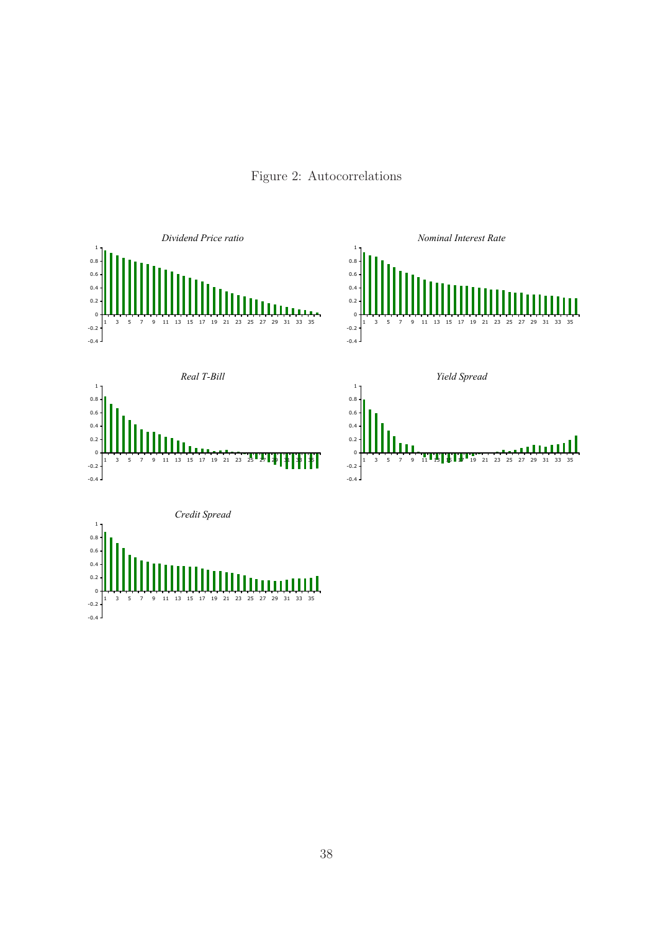Figure 2: Autocorrelations

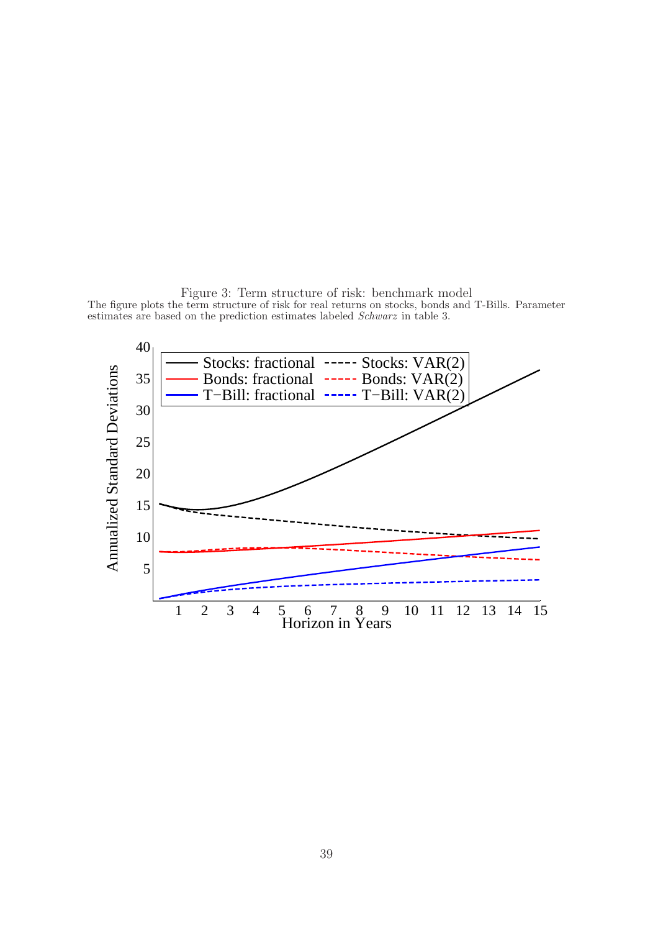Figure 3: Term structure of risk: benchmark model The figure plots the term structure of risk for real returns on stocks, bonds and T-Bills. Parameter estimates are based on the prediction estimates labeled Schwarz in table 3.

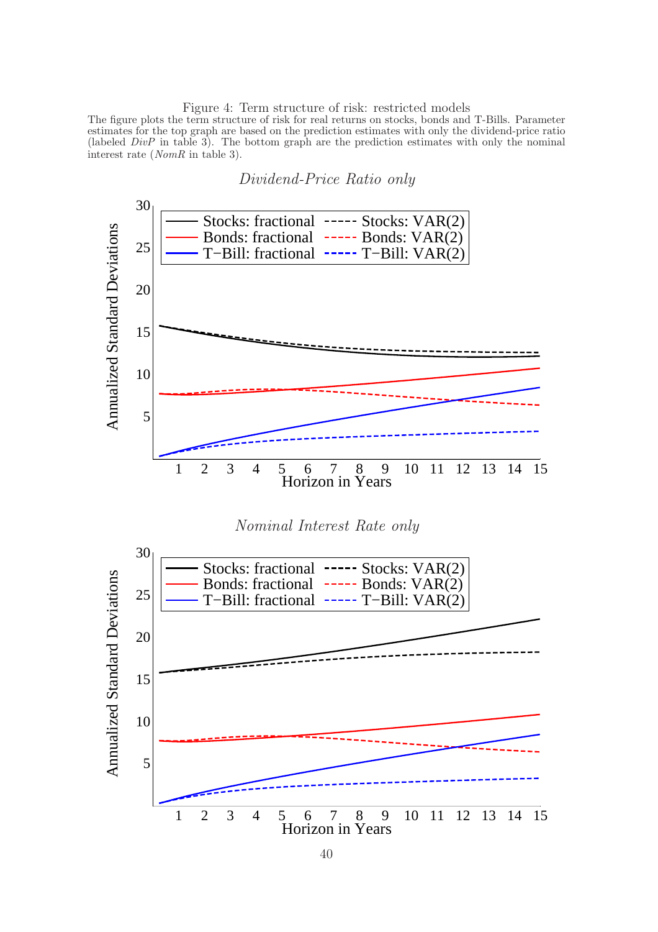Figure 4: Term structure of risk: restricted models

The figure plots the term structure of risk for real returns on stocks, bonds and T-Bills. Parameter estimates for the top graph are based on the prediction estimates with only the dividend-price ratio (labeled  $DivP$  in table 3). The bottom graph are the prediction estimates with only the nominal interest rate (NomR in table 3).

Dividend-Price Ratio only

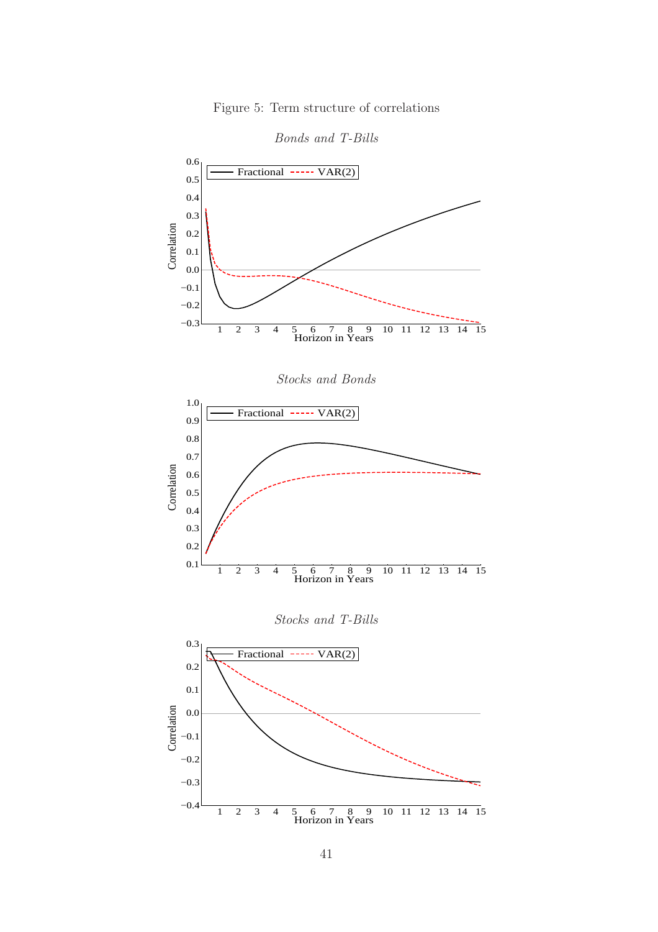

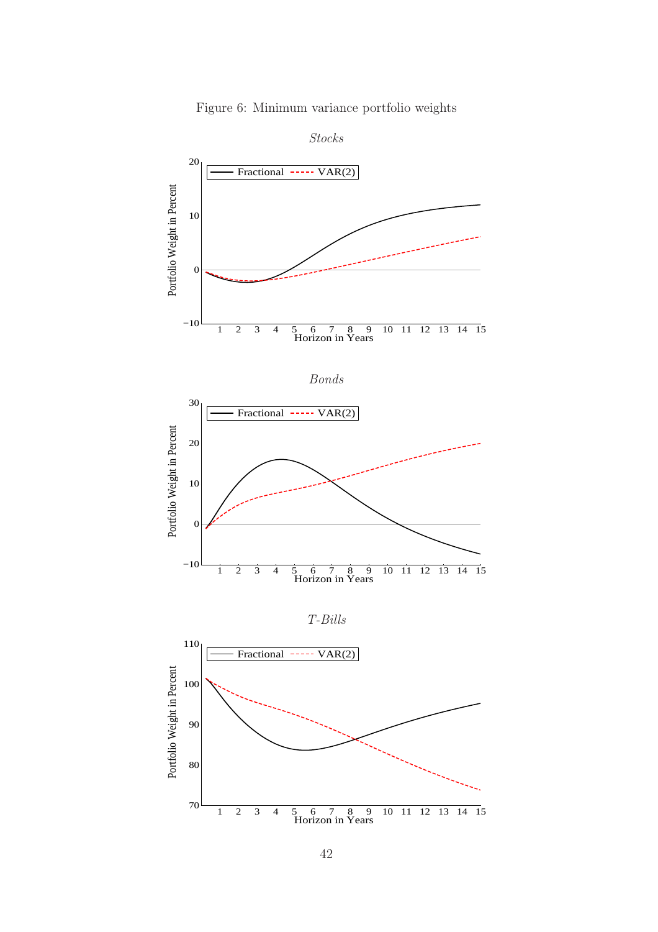

Figure 6: Minimum variance portfolio weights